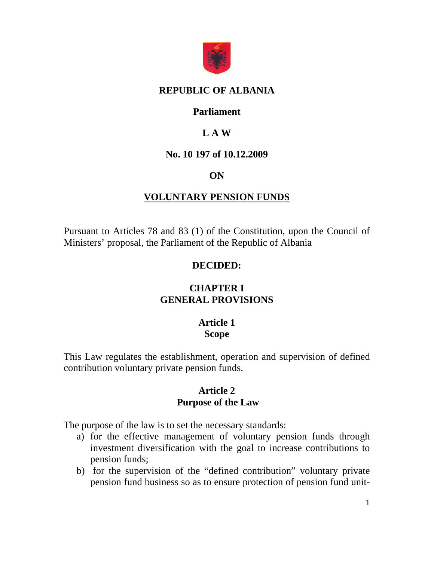

#### **REPUBLIC OF ALBANIA**

#### **Parliament**

# **L A W**

#### **No. 10 197 of 10.12.2009**

### **ON**

### **VOLUNTARY PENSION FUNDS**

Pursuant to Articles 78 and 83 (1) of the Constitution, upon the Council of Ministers' proposal, the Parliament of the Republic of Albania

#### **DECIDED:**

# **CHAPTER I GENERAL PROVISIONS**

#### **Article 1 Scope**

This Law regulates the establishment, operation and supervision of defined contribution voluntary private pension funds.

#### **Article 2 Purpose of the Law**

The purpose of the law is to set the necessary standards:

- a) for the effective management of voluntary pension funds through investment diversification with the goal to increase contributions to pension funds;
- b) for the supervision of the "defined contribution" voluntary private pension fund business so as to ensure protection of pension fund unit-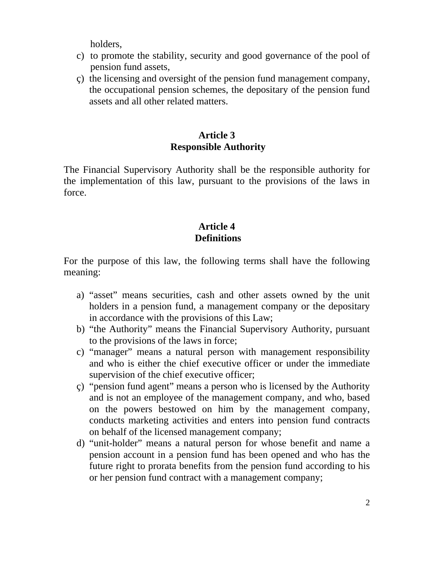holders,

- c) to promote the stability, security and good governance of the pool of pension fund assets,
- ç) the licensing and oversight of the pension fund management company, the occupational pension schemes, the depositary of the pension fund assets and all other related matters.

# **Article 3 Responsible Authority**

The Financial Supervisory Authority shall be the responsible authority for the implementation of this law, pursuant to the provisions of the laws in force.

# **Article 4 Definitions**

For the purpose of this law, the following terms shall have the following meaning:

- a) "asset" means securities, cash and other assets owned by the unit holders in a pension fund, a management company or the depositary in accordance with the provisions of this Law;
- b) "the Authority" means the Financial Supervisory Authority, pursuant to the provisions of the laws in force;
- c) "manager" means a natural person with management responsibility and who is either the chief executive officer or under the immediate supervision of the chief executive officer;
- ç) "pension fund agent" means a person who is licensed by the Authority and is not an employee of the management company, and who, based on the powers bestowed on him by the management company, conducts marketing activities and enters into pension fund contracts on behalf of the licensed management company;
- d) "unit-holder" means a natural person for whose benefit and name a pension account in a pension fund has been opened and who has the future right to prorata benefits from the pension fund according to his or her pension fund contract with a management company;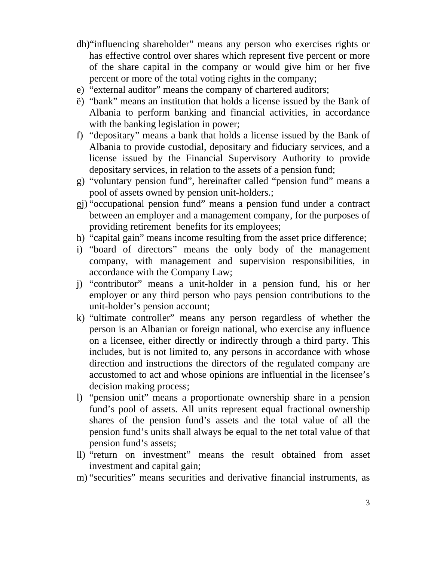- dh)"influencing shareholder" means any person who exercises rights or has effective control over shares which represent five percent or more of the share capital in the company or would give him or her five percent or more of the total voting rights in the company;
- e) "external auditor" means the company of chartered auditors;
- ë) "bank" means an institution that holds a license issued by the Bank of Albania to perform banking and financial activities, in accordance with the banking legislation in power;
- f) "depositary" means a bank that holds a license issued by the Bank of Albania to provide custodial, depositary and fiduciary services, and a license issued by the Financial Supervisory Authority to provide depositary services, in relation to the assets of a pension fund;
- g) "voluntary pension fund", hereinafter called "pension fund" means a pool of assets owned by pension unit-holders.;
- gj) "occupational pension fund" means a pension fund under a contract between an employer and a management company, for the purposes of providing retirement benefits for its employees;
- h) "capital gain" means income resulting from the asset price difference;
- i) "board of directors" means the only body of the management company, with management and supervision responsibilities, in accordance with the Company Law;
- j) "contributor" means a unit-holder in a pension fund, his or her employer or any third person who pays pension contributions to the unit-holder's pension account;
- k) "ultimate controller" means any person regardless of whether the person is an Albanian or foreign national, who exercise any influence on a licensee, either directly or indirectly through a third party. This includes, but is not limited to, any persons in accordance with whose direction and instructions the directors of the regulated company are accustomed to act and whose opinions are influential in the licensee's decision making process;
- l) "pension unit" means a proportionate ownership share in a pension fund's pool of assets. All units represent equal fractional ownership shares of the pension fund's assets and the total value of all the pension fund's units shall always be equal to the net total value of that pension fund's assets;
- ll) "return on investment" means the result obtained from asset investment and capital gain;
- m) "securities" means securities and derivative financial instruments, as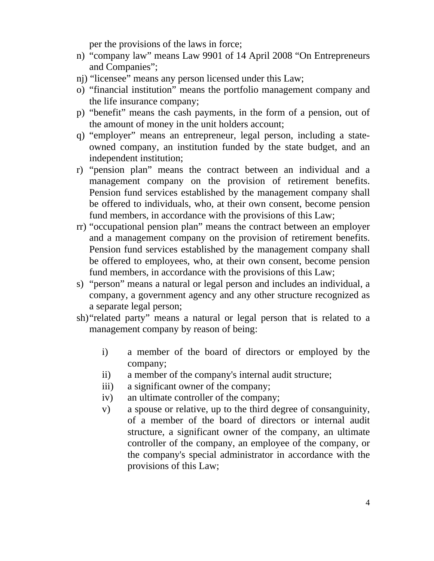per the provisions of the laws in force;

- n) "company law" means Law 9901 of 14 April 2008 "On Entrepreneurs and Companies";
- nj) "licensee" means any person licensed under this Law;
- o) "financial institution" means the portfolio management company and the life insurance company;
- p) "benefit" means the cash payments, in the form of a pension, out of the amount of money in the unit holders account;
- q) "employer" means an entrepreneur, legal person, including a stateowned company, an institution funded by the state budget, and an independent institution;
- r) "pension plan" means the contract between an individual and a management company on the provision of retirement benefits. Pension fund services established by the management company shall be offered to individuals, who, at their own consent, become pension fund members, in accordance with the provisions of this Law;
- rr) "occupational pension plan" means the contract between an employer and a management company on the provision of retirement benefits. Pension fund services established by the management company shall be offered to employees, who, at their own consent, become pension fund members, in accordance with the provisions of this Law;
- s) "person" means a natural or legal person and includes an individual, a company, a government agency and any other structure recognized as a separate legal person;
- sh) "related party" means a natural or legal person that is related to a management company by reason of being:
	- i) a member of the board of directors or employed by the company;
	- ii) a member of the company's internal audit structure;
	- iii) a significant owner of the company;
	- iv) an ultimate controller of the company;
	- v) a spouse or relative, up to the third degree of consanguinity, of a member of the board of directors or internal audit structure, a significant owner of the company, an ultimate controller of the company, an employee of the company, or the company's special administrator in accordance with the provisions of this Law;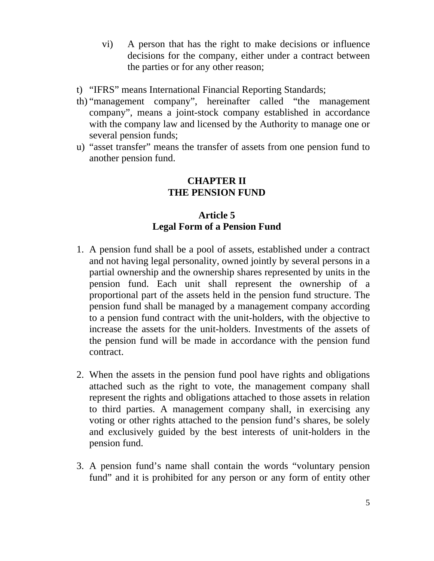- vi) A person that has the right to make decisions or influence decisions for the company, either under a contract between the parties or for any other reason;
- t) "IFRS" means International Financial Reporting Standards;
- th) "management company", hereinafter called "the management company", means a joint-stock company established in accordance with the company law and licensed by the Authority to manage one or several pension funds;
- u) "asset transfer" means the transfer of assets from one pension fund to another pension fund.

#### **CHAPTER II THE PENSION FUND**

# **Article 5 Legal Form of a Pension Fund**

- 1. A pension fund shall be a pool of assets, established under a contract and not having legal personality, owned jointly by several persons in a partial ownership and the ownership shares represented by units in the pension fund. Each unit shall represent the ownership of a proportional part of the assets held in the pension fund structure. The pension fund shall be managed by a management company according to a pension fund contract with the unit-holders, with the objective to increase the assets for the unit-holders. Investments of the assets of the pension fund will be made in accordance with the pension fund contract.
- 2. When the assets in the pension fund pool have rights and obligations attached such as the right to vote, the management company shall represent the rights and obligations attached to those assets in relation to third parties. A management company shall, in exercising any voting or other rights attached to the pension fund's shares, be solely and exclusively guided by the best interests of unit-holders in the pension fund.
- 3. A pension fund's name shall contain the words "voluntary pension fund" and it is prohibited for any person or any form of entity other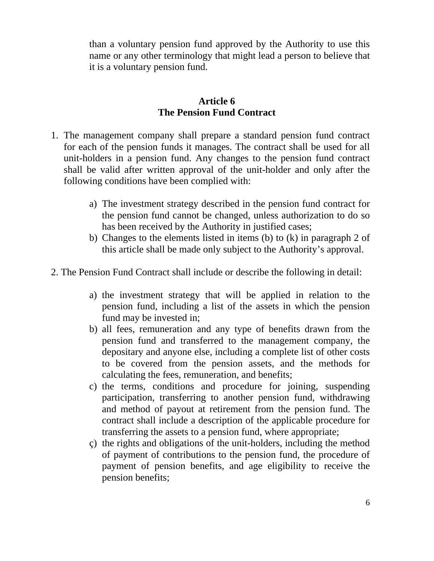than a voluntary pension fund approved by the Authority to use this name or any other terminology that might lead a person to believe that it is a voluntary pension fund.

#### **Article 6 The Pension Fund Contract**

- 1. The management company shall prepare a standard pension fund contract for each of the pension funds it manages. The contract shall be used for all unit-holders in a pension fund. Any changes to the pension fund contract shall be valid after written approval of the unit-holder and only after the following conditions have been complied with:
	- a) The investment strategy described in the pension fund contract for the pension fund cannot be changed, unless authorization to do so has been received by the Authority in justified cases;
	- b) Changes to the elements listed in items (b) to (k) in paragraph 2 of this article shall be made only subject to the Authority's approval.
- 2. The Pension Fund Contract shall include or describe the following in detail:
	- a) the investment strategy that will be applied in relation to the pension fund, including a list of the assets in which the pension fund may be invested in;
	- b) all fees, remuneration and any type of benefits drawn from the pension fund and transferred to the management company, the depositary and anyone else, including a complete list of other costs to be covered from the pension assets, and the methods for calculating the fees, remuneration, and benefits;
	- c) the terms, conditions and procedure for joining, suspending participation, transferring to another pension fund, withdrawing and method of payout at retirement from the pension fund. The contract shall include a description of the applicable procedure for transferring the assets to a pension fund, where appropriate;
	- ç) the rights and obligations of the unit-holders, including the method of payment of contributions to the pension fund, the procedure of payment of pension benefits, and age eligibility to receive the pension benefits;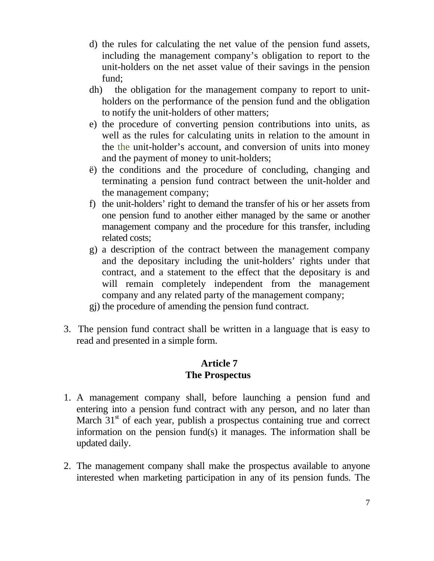- d) the rules for calculating the net value of the pension fund assets, including the management company's obligation to report to the unit-holders on the net asset value of their savings in the pension fund;
- dh) the obligation for the management company to report to unitholders on the performance of the pension fund and the obligation to notify the unit-holders of other matters;
- e) the procedure of converting pension contributions into units, as well as the rules for calculating units in relation to the amount in the the unit-holder's account, and conversion of units into money and the payment of money to unit-holders;
- ë) the conditions and the procedure of concluding, changing and terminating a pension fund contract between the unit-holder and the management company;
- f) the unit-holders' right to demand the transfer of his or her assets from one pension fund to another either managed by the same or another management company and the procedure for this transfer, including related costs;
- g) a description of the contract between the management company and the depositary including the unit-holders' rights under that contract, and a statement to the effect that the depositary is and will remain completely independent from the management company and any related party of the management company;
- gj) the procedure of amending the pension fund contract.
- 3. The pension fund contract shall be written in a language that is easy to read and presented in a simple form.

### **Article 7 The Prospectus**

- 1. A management company shall, before launching a pension fund and entering into a pension fund contract with any person, and no later than March  $31<sup>st</sup>$  of each year, publish a prospectus containing true and correct information on the pension fund(s) it manages. The information shall be updated daily.
- 2. The management company shall make the prospectus available to anyone interested when marketing participation in any of its pension funds. The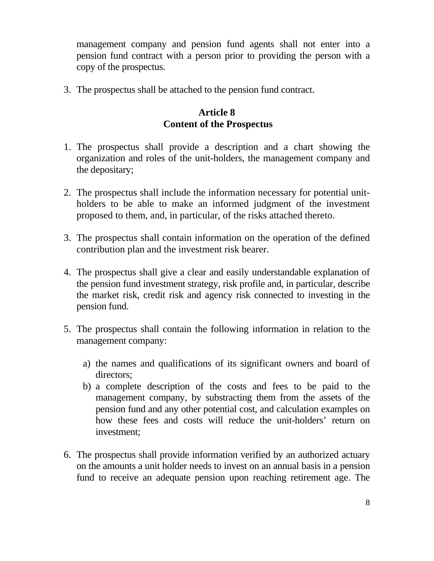management company and pension fund agents shall not enter into a pension fund contract with a person prior to providing the person with a copy of the prospectus.

3. The prospectus shall be attached to the pension fund contract.

### **Article 8 Content of the Prospectus**

- 1. The prospectus shall provide a description and a chart showing the organization and roles of the unit-holders, the management company and the depositary;
- 2. The prospectus shall include the information necessary for potential unitholders to be able to make an informed judgment of the investment proposed to them, and, in particular, of the risks attached thereto.
- 3. The prospectus shall contain information on the operation of the defined contribution plan and the investment risk bearer.
- 4. The prospectus shall give a clear and easily understandable explanation of the pension fund investment strategy, risk profile and, in particular, describe the market risk, credit risk and agency risk connected to investing in the pension fund.
- 5. The prospectus shall contain the following information in relation to the management company:
	- a) the names and qualifications of its significant owners and board of directors;
	- b) a complete description of the costs and fees to be paid to the management company, by substracting them from the assets of the pension fund and any other potential cost, and calculation examples on how these fees and costs will reduce the unit-holders' return on investment;
- 6. The prospectus shall provide information verified by an authorized actuary on the amounts a unit holder needs to invest on an annual basis in a pension fund to receive an adequate pension upon reaching retirement age. The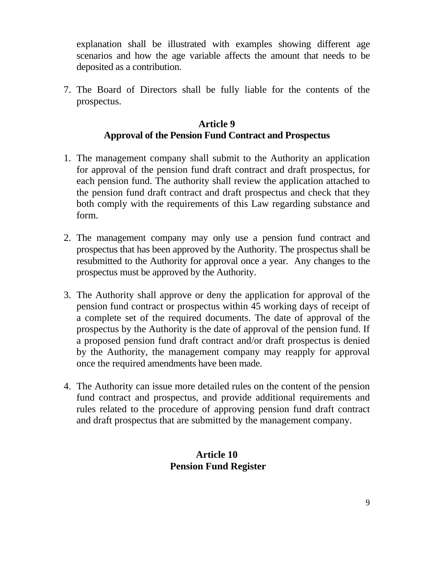explanation shall be illustrated with examples showing different age scenarios and how the age variable affects the amount that needs to be deposited as a contribution.

7. The Board of Directors shall be fully liable for the contents of the prospectus.

### **Article 9 Approval of the Pension Fund Contract and Prospectus**

- 1. The management company shall submit to the Authority an application for approval of the pension fund draft contract and draft prospectus, for each pension fund. The authority shall review the application attached to the pension fund draft contract and draft prospectus and check that they both comply with the requirements of this Law regarding substance and form.
- 2. The management company may only use a pension fund contract and prospectus that has been approved by the Authority. The prospectus shall be resubmitted to the Authority for approval once a year. Any changes to the prospectus must be approved by the Authority.
- 3. The Authority shall approve or deny the application for approval of the pension fund contract or prospectus within 45 working days of receipt of a complete set of the required documents. The date of approval of the prospectus by the Authority is the date of approval of the pension fund. If a proposed pension fund draft contract and/or draft prospectus is denied by the Authority, the management company may reapply for approval once the required amendments have been made.
- 4. The Authority can issue more detailed rules on the content of the pension fund contract and prospectus, and provide additional requirements and rules related to the procedure of approving pension fund draft contract and draft prospectus that are submitted by the management company.

# **Article 10 Pension Fund Register**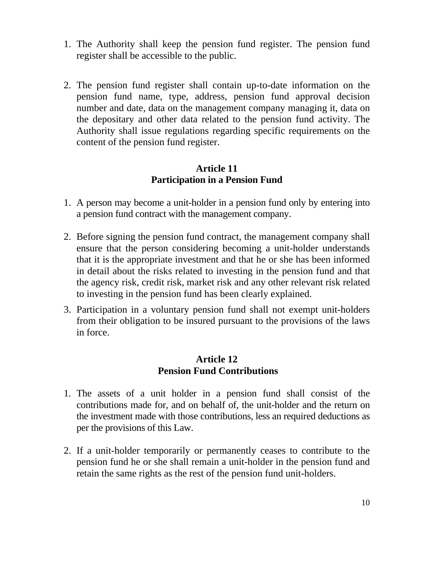- 1. The Authority shall keep the pension fund register. The pension fund register shall be accessible to the public.
- 2. The pension fund register shall contain up-to-date information on the pension fund name, type, address, pension fund approval decision number and date, data on the management company managing it, data on the depositary and other data related to the pension fund activity. The Authority shall issue regulations regarding specific requirements on the content of the pension fund register.

#### **Article 11 Participation in a Pension Fund**

- 1. A person may become a unit-holder in a pension fund only by entering into a pension fund contract with the management company.
- 2. Before signing the pension fund contract, the management company shall ensure that the person considering becoming a unit-holder understands that it is the appropriate investment and that he or she has been informed in detail about the risks related to investing in the pension fund and that the agency risk, credit risk, market risk and any other relevant risk related to investing in the pension fund has been clearly explained.
- 3. Participation in a voluntary pension fund shall not exempt unit-holders from their obligation to be insured pursuant to the provisions of the laws in force.

#### **Article 12 Pension Fund Contributions**

- 1. The assets of a unit holder in a pension fund shall consist of the contributions made for, and on behalf of, the unit-holder and the return on the investment made with those contributions, less an required deductions as per the provisions of this Law.
- 2. If a unit-holder temporarily or permanently ceases to contribute to the pension fund he or she shall remain a unit-holder in the pension fund and retain the same rights as the rest of the pension fund unit-holders.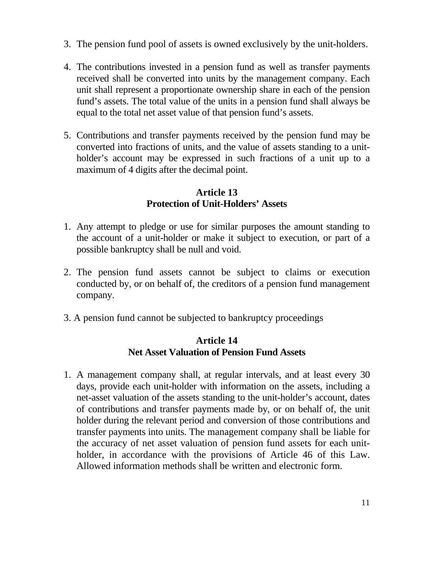- 3. The pension fund pool of assets is owned exclusively by the unit-holders.
- 4. The contributions invested in a pension fund as well as transfer payments received shall be converted into units by the management company. Each unit shall represent a proportionate ownership share in each of the pension fund's assets. The total value of the units in a pension fund shall always be equal to the total net asset value of that pension fund's assets.
- 5. Contributions and transfer payments received by the pension fund may be converted into fractions of units, and the value of assets standing to a unitholder's account may be expressed in such fractions of a unit up to a maximum of 4 digits after the decimal point.

## **Article 13 Protection of Unit-Holders' Assets**

- 1. Any attempt to pledge or use for similar purposes the amount standing to the account of a unit-holder or make it subject to execution, or part of a possible bankruptcy shall be null and void.
- 2. The pension fund assets cannot be subject to claims or execution conducted by, or on behalf of, the creditors of a pension fund management company.
- 3. A pension fund cannot be subjected to bankruptcy proceedings

### **Article 14 Net Asset Valuation of Pension Fund Assets**

1. A management company shall, at regular intervals, and at least every 30 days, provide each unit-holder with information on the assets, including a net-asset valuation of the assets standing to the unit-holder's account, dates of contributions and transfer payments made by, or on behalf of, the unit holder during the relevant period and conversion of those contributions and transfer payments into units. The management company shall be liable for the accuracy of net asset valuation of pension fund assets for each unitholder, in accordance with the provisions of Article 46 of this Law. Allowed information methods shall be written and electronic form.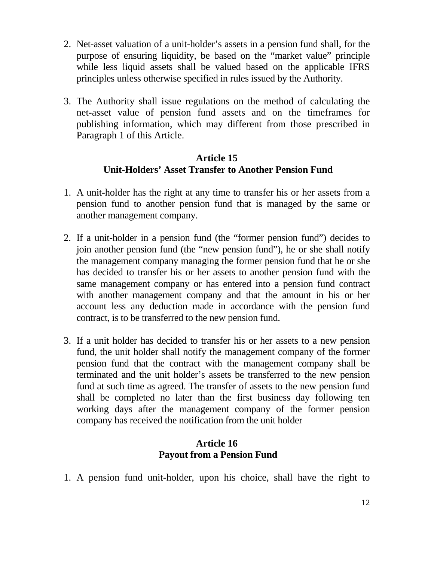- 2. Net-asset valuation of a unit-holder's assets in a pension fund shall, for the purpose of ensuring liquidity, be based on the "market value" principle while less liquid assets shall be valued based on the applicable IFRS principles unless otherwise specified in rules issued by the Authority.
- 3. The Authority shall issue regulations on the method of calculating the net-asset value of pension fund assets and on the timeframes for publishing information, which may different from those prescribed in Paragraph 1 of this Article.

#### **Article 15 Unit-Holders' Asset Transfer to Another Pension Fund**

- 1. A unit-holder has the right at any time to transfer his or her assets from a pension fund to another pension fund that is managed by the same or another management company.
- 2. If a unit-holder in a pension fund (the "former pension fund") decides to join another pension fund (the "new pension fund"), he or she shall notify the management company managing the former pension fund that he or she has decided to transfer his or her assets to another pension fund with the same management company or has entered into a pension fund contract with another management company and that the amount in his or her account less any deduction made in accordance with the pension fund contract, is to be transferred to the new pension fund.
- 3. If a unit holder has decided to transfer his or her assets to a new pension fund, the unit holder shall notify the management company of the former pension fund that the contract with the management company shall be terminated and the unit holder's assets be transferred to the new pension fund at such time as agreed. The transfer of assets to the new pension fund shall be completed no later than the first business day following ten working days after the management company of the former pension company has received the notification from the unit holder

#### **Article 16 Payout from a Pension Fund**

1. A pension fund unit-holder, upon his choice, shall have the right to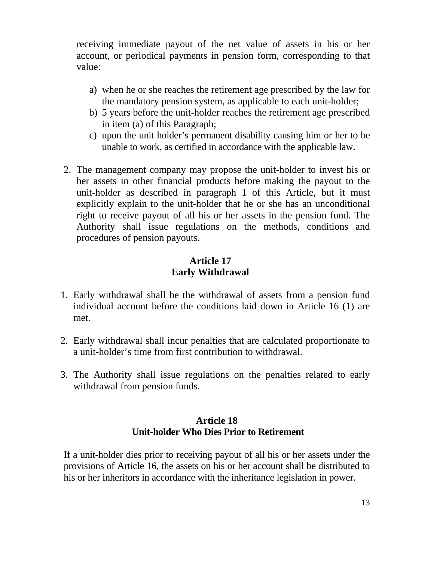receiving immediate payout of the net value of assets in his or her account, or periodical payments in pension form, corresponding to that value:

- a) when he or she reaches the retirement age prescribed by the law for the mandatory pension system, as applicable to each unit-holder;
- b) 5 years before the unit-holder reaches the retirement age prescribed in item (a) of this Paragraph;
- c) upon the unit holder's permanent disability causing him or her to be unable to work, as certified in accordance with the applicable law.
- 2. The management company may propose the unit-holder to invest his or her assets in other financial products before making the payout to the unit-holder as described in paragraph 1 of this Article, but it must explicitly explain to the unit-holder that he or she has an unconditional right to receive payout of all his or her assets in the pension fund. The Authority shall issue regulations on the methods, conditions and procedures of pension payouts.

# **Article 17 Early Withdrawal**

- 1. Early withdrawal shall be the withdrawal of assets from a pension fund individual account before the conditions laid down in Article 16 (1) are met.
- 2. Early withdrawal shall incur penalties that are calculated proportionate to a unit-holder's time from first contribution to withdrawal.
- 3. The Authority shall issue regulations on the penalties related to early withdrawal from pension funds.

### **Article 18 Unit-holder Who Dies Prior to Retirement**

If a unit-holder dies prior to receiving payout of all his or her assets under the provisions of Article 16, the assets on his or her account shall be distributed to his or her inheritors in accordance with the inheritance legislation in power.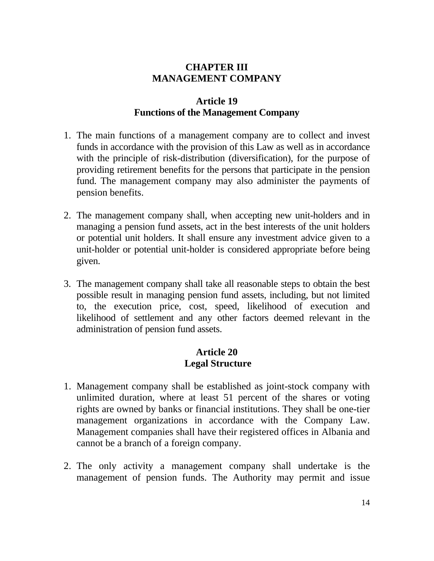# **CHAPTER III MANAGEMENT COMPANY**

### **Article 19 Functions of the Management Company**

- 1. The main functions of a management company are to collect and invest funds in accordance with the provision of this Law as well as in accordance with the principle of risk-distribution (diversification), for the purpose of providing retirement benefits for the persons that participate in the pension fund. The management company may also administer the payments of pension benefits.
- 2. The management company shall, when accepting new unit-holders and in managing a pension fund assets, act in the best interests of the unit holders or potential unit holders. It shall ensure any investment advice given to a unit-holder or potential unit-holder is considered appropriate before being given.
- 3. The management company shall take all reasonable steps to obtain the best possible result in managing pension fund assets, including, but not limited to, the execution price, cost, speed, likelihood of execution and likelihood of settlement and any other factors deemed relevant in the administration of pension fund assets.

#### **Article 20 Legal Structure**

- 1. Management company shall be established as joint-stock company with unlimited duration, where at least 51 percent of the shares or voting rights are owned by banks or financial institutions. They shall be one-tier management organizations in accordance with the Company Law. Management companies shall have their registered offices in Albania and cannot be a branch of a foreign company.
- 2. The only activity a management company shall undertake is the management of pension funds. The Authority may permit and issue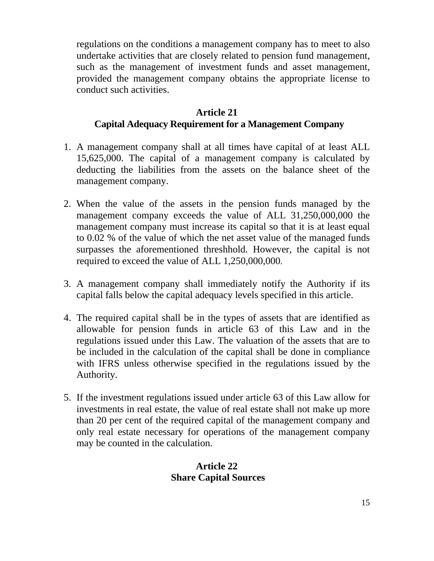regulations on the conditions a management company has to meet to also undertake activities that are closely related to pension fund management, such as the management of investment funds and asset management, provided the management company obtains the appropriate license to conduct such activities.

### **Article 21 Capital Adequacy Requirement for a Management Company**

- 1. A management company shall at all times have capital of at least ALL 15,625,000. The capital of a management company is calculated by deducting the liabilities from the assets on the balance sheet of the management company.
- 2. When the value of the assets in the pension funds managed by the management company exceeds the value of ALL 31,250,000,000 the management company must increase its capital so that it is at least equal to 0.02 % of the value of which the net asset value of the managed funds surpasses the aforementioned threshhold. However, the capital is not required to exceed the value of ALL 1,250,000,000.
- 3. A management company shall immediately notify the Authority if its capital falls below the capital adequacy levels specified in this article.
- 4. The required capital shall be in the types of assets that are identified as allowable for pension funds in article 63 of this Law and in the regulations issued under this Law. The valuation of the assets that are to be included in the calculation of the capital shall be done in compliance with IFRS unless otherwise specified in the regulations issued by the Authority.
- 5. If the investment regulations issued under article 63 of this Law allow for investments in real estate, the value of real estate shall not make up more than 20 per cent of the required capital of the management company and only real estate necessary for operations of the management company may be counted in the calculation.

#### **Article 22 Share Capital Sources**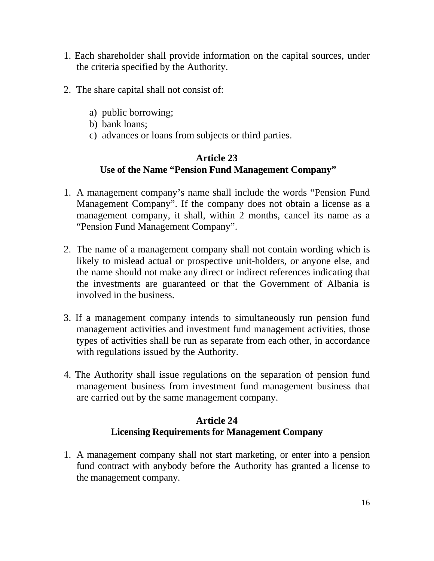- 1. Each shareholder shall provide information on the capital sources, under the criteria specified by the Authority.
- 2. The share capital shall not consist of:
	- a) public borrowing;
	- b) bank loans;
	- c) advances or loans from subjects or third parties.

# **Article 23 Use of the Name "Pension Fund Management Company"**

- 1. A management company's name shall include the words "Pension Fund Management Company". If the company does not obtain a license as a management company, it shall, within 2 months, cancel its name as a "Pension Fund Management Company".
- 2. The name of a management company shall not contain wording which is likely to mislead actual or prospective unit-holders, or anyone else, and the name should not make any direct or indirect references indicating that the investments are guaranteed or that the Government of Albania is involved in the business.
- 3. If a management company intends to simultaneously run pension fund management activities and investment fund management activities, those types of activities shall be run as separate from each other, in accordance with regulations issued by the Authority.
- 4. The Authority shall issue regulations on the separation of pension fund management business from investment fund management business that are carried out by the same management company.

# **Article 24 Licensing Requirements for Management Company**

1. A management company shall not start marketing, or enter into a pension fund contract with anybody before the Authority has granted a license to the management company.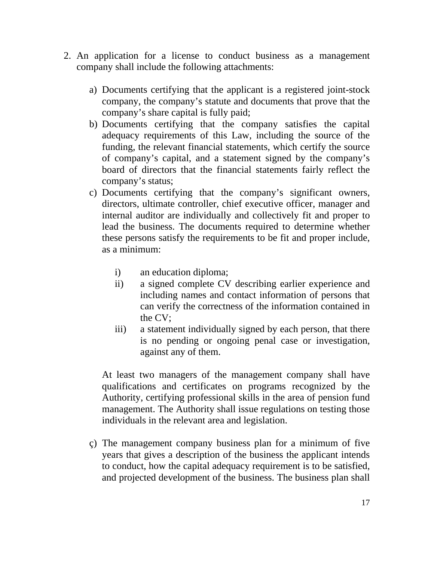- 2. An application for a license to conduct business as a management company shall include the following attachments:
	- a) Documents certifying that the applicant is a registered joint-stock company, the company's statute and documents that prove that the company's share capital is fully paid;
	- b) Documents certifying that the company satisfies the capital adequacy requirements of this Law, including the source of the funding, the relevant financial statements, which certify the source of company's capital, and a statement signed by the company's board of directors that the financial statements fairly reflect the company's status;
	- c) Documents certifying that the company's significant owners, directors, ultimate controller, chief executive officer, manager and internal auditor are individually and collectively fit and proper to lead the business. The documents required to determine whether these persons satisfy the requirements to be fit and proper include, as a minimum:
		- i) an education diploma;
		- ii) a signed complete CV describing earlier experience and including names and contact information of persons that can verify the correctness of the information contained in the CV;
		- iii) a statement individually signed by each person, that there is no pending or ongoing penal case or investigation, against any of them.

At least two managers of the management company shall have qualifications and certificates on programs recognized by the Authority, certifying professional skills in the area of pension fund management. The Authority shall issue regulations on testing those individuals in the relevant area and legislation.

ç) The management company business plan for a minimum of five years that gives a description of the business the applicant intends to conduct, how the capital adequacy requirement is to be satisfied, and projected development of the business. The business plan shall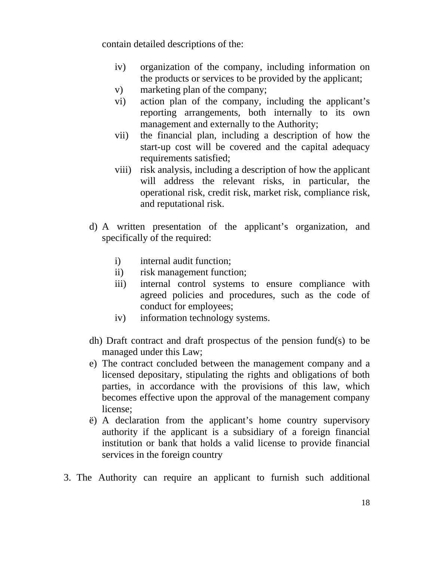contain detailed descriptions of the:

- iv) organization of the company, including information on the products or services to be provided by the applicant;
- v) marketing plan of the company;
- vi) action plan of the company, including the applicant's reporting arrangements, both internally to its own management and externally to the Authority;
- vii) the financial plan, including a description of how the start-up cost will be covered and the capital adequacy requirements satisfied;
- viii) risk analysis, including a description of how the applicant will address the relevant risks, in particular, the operational risk, credit risk, market risk, compliance risk, and reputational risk.
- d) A written presentation of the applicant's organization, and specifically of the required:
	- i) internal audit function;
	- ii) risk management function;
	- iii) internal control systems to ensure compliance with agreed policies and procedures, such as the code of conduct for employees;
	- iv) information technology systems.
- dh) Draft contract and draft prospectus of the pension fund(s) to be managed under this Law;
- e) The contract concluded between the management company and a licensed depositary, stipulating the rights and obligations of both parties, in accordance with the provisions of this law, which becomes effective upon the approval of the management company license;
- ë) A declaration from the applicant's home country supervisory authority if the applicant is a subsidiary of a foreign financial institution or bank that holds a valid license to provide financial services in the foreign country
- 3. The Authority can require an applicant to furnish such additional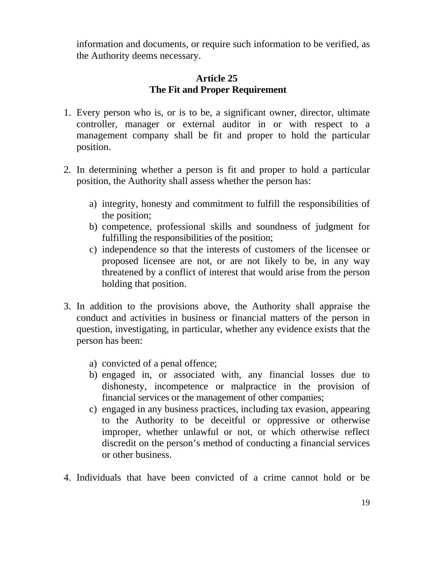information and documents, or require such information to be verified, as the Authority deems necessary.

### **Article 25 The Fit and Proper Requirement**

- 1. Every person who is, or is to be, a significant owner, director, ultimate controller, manager or external auditor in or with respect to a management company shall be fit and proper to hold the particular position.
- 2. In determining whether a person is fit and proper to hold a particular position, the Authority shall assess whether the person has:
	- a) integrity, honesty and commitment to fulfill the responsibilities of the position;
	- b) competence, professional skills and soundness of judgment for fulfilling the responsibilities of the position;
	- c) independence so that the interests of customers of the licensee or proposed licensee are not, or are not likely to be, in any way threatened by a conflict of interest that would arise from the person holding that position.
- 3. In addition to the provisions above, the Authority shall appraise the conduct and activities in business or financial matters of the person in question, investigating, in particular, whether any evidence exists that the person has been:
	- a) convicted of a penal offence;
	- b) engaged in, or associated with, any financial losses due to dishonesty, incompetence or malpractice in the provision of financial services or the management of other companies;
	- c) engaged in any business practices, including tax evasion, appearing to the Authority to be deceitful or oppressive or otherwise improper, whether unlawful or not, or which otherwise reflect discredit on the person's method of conducting a financial services or other business.
- 4. Individuals that have been convicted of a crime cannot hold or be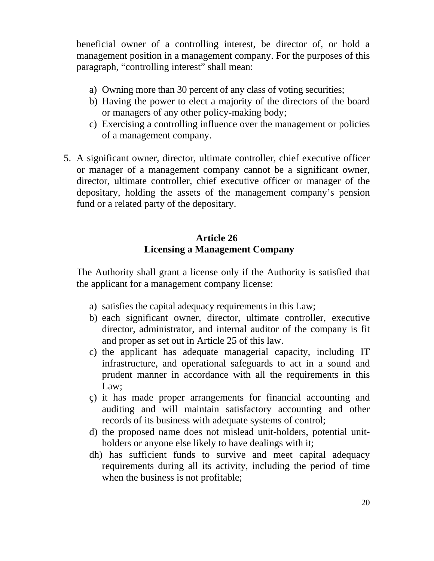beneficial owner of a controlling interest, be director of, or hold a management position in a management company. For the purposes of this paragraph, "controlling interest" shall mean:

- a) Owning more than 30 percent of any class of voting securities;
- b) Having the power to elect a majority of the directors of the board or managers of any other policy-making body;
- c) Exercising a controlling influence over the management or policies of a management company.
- 5. A significant owner, director, ultimate controller, chief executive officer or manager of a management company cannot be a significant owner, director, ultimate controller, chief executive officer or manager of the depositary, holding the assets of the management company's pension fund or a related party of the depositary.

# **Article 26 Licensing a Management Company**

 The Authority shall grant a license only if the Authority is satisfied that the applicant for a management company license:

- a) satisfies the capital adequacy requirements in this Law;
- b) each significant owner, director, ultimate controller, executive director, administrator, and internal auditor of the company is fit and proper as set out in Article 25 of this law.
- c) the applicant has adequate managerial capacity, including IT infrastructure, and operational safeguards to act in a sound and prudent manner in accordance with all the requirements in this Law;
- ç) it has made proper arrangements for financial accounting and auditing and will maintain satisfactory accounting and other records of its business with adequate systems of control;
- d) the proposed name does not mislead unit-holders, potential unitholders or anyone else likely to have dealings with it;
- dh) has sufficient funds to survive and meet capital adequacy requirements during all its activity, including the period of time when the business is not profitable;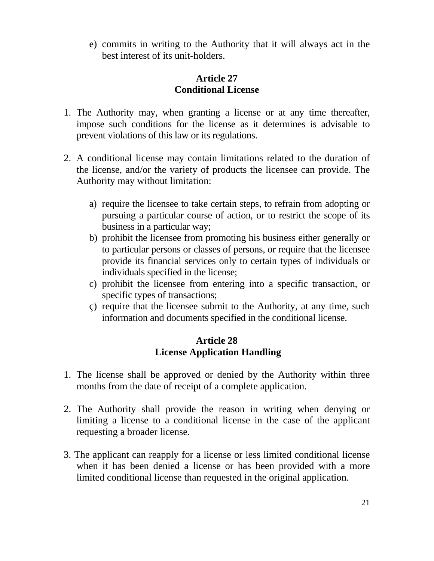e) commits in writing to the Authority that it will always act in the best interest of its unit-holders.

### **Article 27 Conditional License**

- 1. The Authority may, when granting a license or at any time thereafter, impose such conditions for the license as it determines is advisable to prevent violations of this law or its regulations.
- 2. A conditional license may contain limitations related to the duration of the license, and/or the variety of products the licensee can provide. The Authority may without limitation:
	- a) require the licensee to take certain steps, to refrain from adopting or pursuing a particular course of action, or to restrict the scope of its business in a particular way;
	- b) prohibit the licensee from promoting his business either generally or to particular persons or classes of persons, or require that the licensee provide its financial services only to certain types of individuals or individuals specified in the license;
	- c) prohibit the licensee from entering into a specific transaction, or specific types of transactions;
	- ç) require that the licensee submit to the Authority, at any time, such information and documents specified in the conditional license.

#### **Article 28 License Application Handling**

- 1. The license shall be approved or denied by the Authority within three months from the date of receipt of a complete application.
- 2. The Authority shall provide the reason in writing when denying or limiting a license to a conditional license in the case of the applicant requesting a broader license.
- 3. The applicant can reapply for a license or less limited conditional license when it has been denied a license or has been provided with a more limited conditional license than requested in the original application.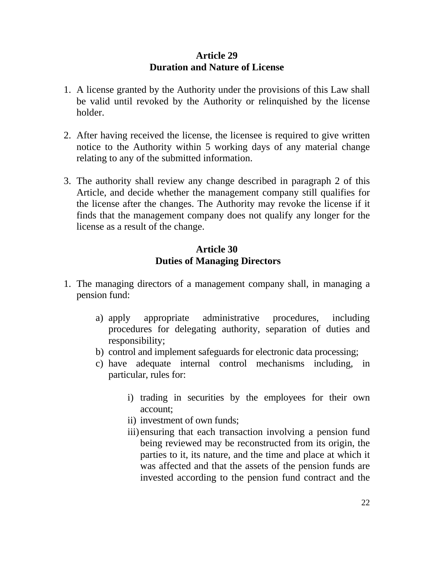#### **Article 29 Duration and Nature of License**

- 1. A license granted by the Authority under the provisions of this Law shall be valid until revoked by the Authority or relinquished by the license holder.
- 2. After having received the license, the licensee is required to give written notice to the Authority within 5 working days of any material change relating to any of the submitted information.
- 3. The authority shall review any change described in paragraph 2 of this Article, and decide whether the management company still qualifies for the license after the changes. The Authority may revoke the license if it finds that the management company does not qualify any longer for the license as a result of the change.

#### **Article 30 Duties of Managing Directors**

- 1. The managing directors of a management company shall, in managing a pension fund:
	- a) apply appropriate administrative procedures, including procedures for delegating authority, separation of duties and responsibility;
	- b) control and implement safeguards for electronic data processing;
	- c) have adequate internal control mechanisms including, in particular, rules for:
		- i) trading in securities by the employees for their own account;
		- ii) investment of own funds;
		- iii) ensuring that each transaction involving a pension fund being reviewed may be reconstructed from its origin, the parties to it, its nature, and the time and place at which it was affected and that the assets of the pension funds are invested according to the pension fund contract and the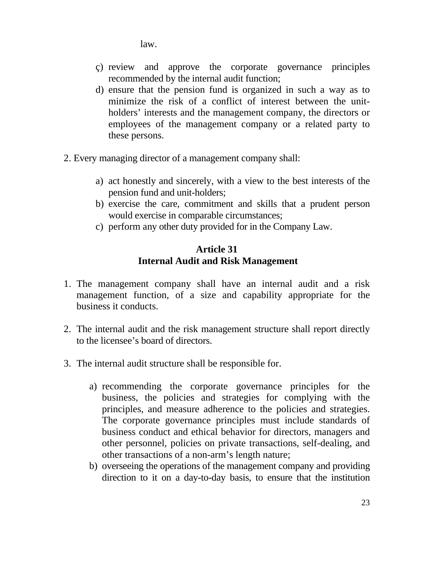law.

- ç) review and approve the corporate governance principles recommended by the internal audit function;
- d) ensure that the pension fund is organized in such a way as to minimize the risk of a conflict of interest between the unitholders' interests and the management company, the directors or employees of the management company or a related party to these persons.
- 2. Every managing director of a management company shall:
	- a) act honestly and sincerely, with a view to the best interests of the pension fund and unit-holders;
	- b) exercise the care, commitment and skills that a prudent person would exercise in comparable circumstances;
	- c) perform any other duty provided for in the Company Law.

## **Article 31 Internal Audit and Risk Management**

- 1. The management company shall have an internal audit and a risk management function, of a size and capability appropriate for the business it conducts.
- 2. The internal audit and the risk management structure shall report directly to the licensee's board of directors.
- 3. The internal audit structure shall be responsible for.
	- a) recommending the corporate governance principles for the business, the policies and strategies for complying with the principles, and measure adherence to the policies and strategies. The corporate governance principles must include standards of business conduct and ethical behavior for directors, managers and other personnel, policies on private transactions, self-dealing, and other transactions of a non-arm's length nature;
	- b) overseeing the operations of the management company and providing direction to it on a day-to-day basis, to ensure that the institution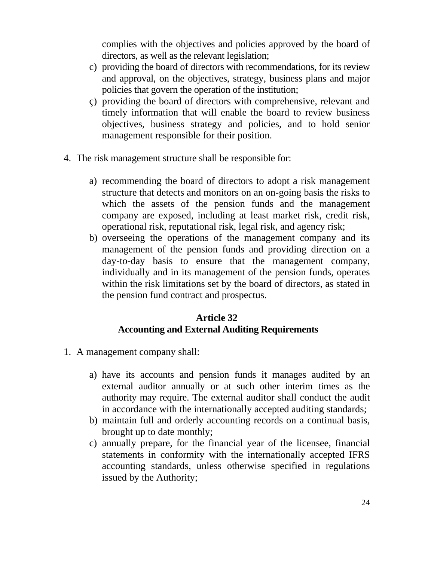complies with the objectives and policies approved by the board of directors, as well as the relevant legislation;

- c) providing the board of directors with recommendations, for its review and approval, on the objectives, strategy, business plans and major policies that govern the operation of the institution;
- ç) providing the board of directors with comprehensive, relevant and timely information that will enable the board to review business objectives, business strategy and policies, and to hold senior management responsible for their position.
- 4. The risk management structure shall be responsible for:
	- a) recommending the board of directors to adopt a risk management structure that detects and monitors on an on-going basis the risks to which the assets of the pension funds and the management company are exposed, including at least market risk, credit risk, operational risk, reputational risk, legal risk, and agency risk;
	- b) overseeing the operations of the management company and its management of the pension funds and providing direction on a day-to-day basis to ensure that the management company, individually and in its management of the pension funds, operates within the risk limitations set by the board of directors, as stated in the pension fund contract and prospectus.

#### **Article 32 Accounting and External Auditing Requirements**

- 1. A management company shall:
	- a) have its accounts and pension funds it manages audited by an external auditor annually or at such other interim times as the authority may require. The external auditor shall conduct the audit in accordance with the internationally accepted auditing standards;
	- b) maintain full and orderly accounting records on a continual basis, brought up to date monthly;
	- c) annually prepare, for the financial year of the licensee, financial statements in conformity with the internationally accepted IFRS accounting standards, unless otherwise specified in regulations issued by the Authority;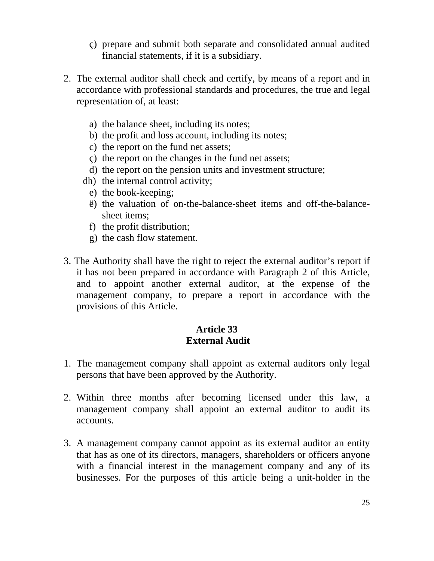- ç) prepare and submit both separate and consolidated annual audited financial statements, if it is a subsidiary.
- 2. The external auditor shall check and certify, by means of a report and in accordance with professional standards and procedures, the true and legal representation of, at least:
	- a) the balance sheet, including its notes;
	- b) the profit and loss account, including its notes;
	- c) the report on the fund net assets;
	- ç) the report on the changes in the fund net assets;
	- d) the report on the pension units and investment structure;
	- dh) the internal control activity;
		- e) the book-keeping;
		- ë) the valuation of on-the-balance-sheet items and off-the-balancesheet items;
		- f) the profit distribution;
		- g) the cash flow statement.
- 3. The Authority shall have the right to reject the external auditor's report if it has not been prepared in accordance with Paragraph 2 of this Article, and to appoint another external auditor, at the expense of the management company, to prepare a report in accordance with the provisions of this Article.

# **Article 33 External Audit**

- 1. The management company shall appoint as external auditors only legal persons that have been approved by the Authority.
- 2. Within three months after becoming licensed under this law, a management company shall appoint an external auditor to audit its accounts.
- 3. A management company cannot appoint as its external auditor an entity that has as one of its directors, managers, shareholders or officers anyone with a financial interest in the management company and any of its businesses. For the purposes of this article being a unit-holder in the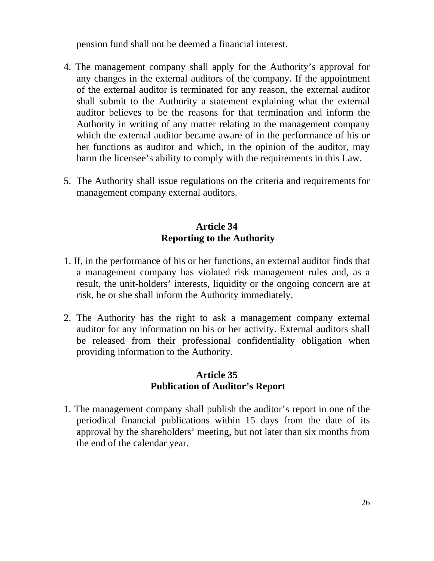pension fund shall not be deemed a financial interest.

- 4. The management company shall apply for the Authority's approval for any changes in the external auditors of the company. If the appointment of the external auditor is terminated for any reason, the external auditor shall submit to the Authority a statement explaining what the external auditor believes to be the reasons for that termination and inform the Authority in writing of any matter relating to the management company which the external auditor became aware of in the performance of his or her functions as auditor and which, in the opinion of the auditor, may harm the licensee's ability to comply with the requirements in this Law.
- 5. The Authority shall issue regulations on the criteria and requirements for management company external auditors.

## **Article 34 Reporting to the Authority**

- 1. If, in the performance of his or her functions, an external auditor finds that a management company has violated risk management rules and, as a result, the unit-holders' interests, liquidity or the ongoing concern are at risk, he or she shall inform the Authority immediately.
- 2. The Authority has the right to ask a management company external auditor for any information on his or her activity. External auditors shall be released from their professional confidentiality obligation when providing information to the Authority.

#### **Article 35 Publication of Auditor's Report**

1. The management company shall publish the auditor's report in one of the periodical financial publications within 15 days from the date of its approval by the shareholders' meeting, but not later than six months from the end of the calendar year.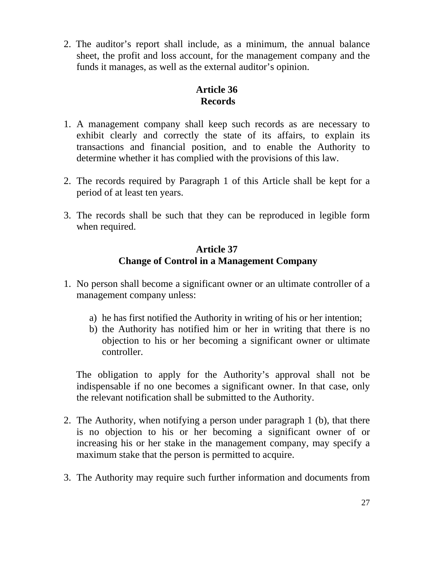2. The auditor's report shall include, as a minimum, the annual balance sheet, the profit and loss account, for the management company and the funds it manages, as well as the external auditor's opinion.

### **Article 36 Records**

- 1. A management company shall keep such records as are necessary to exhibit clearly and correctly the state of its affairs, to explain its transactions and financial position, and to enable the Authority to determine whether it has complied with the provisions of this law.
- 2. The records required by Paragraph 1 of this Article shall be kept for a period of at least ten years.
- 3. The records shall be such that they can be reproduced in legible form when required.

# **Article 37 Change of Control in a Management Company**

- 1. No person shall become a significant owner or an ultimate controller of a management company unless:
	- a) he has first notified the Authority in writing of his or her intention;
	- b) the Authority has notified him or her in writing that there is no objection to his or her becoming a significant owner or ultimate controller.

 The obligation to apply for the Authority's approval shall not be indispensable if no one becomes a significant owner. In that case, only the relevant notification shall be submitted to the Authority.

- 2. The Authority, when notifying a person under paragraph 1 (b), that there is no objection to his or her becoming a significant owner of or increasing his or her stake in the management company, may specify a maximum stake that the person is permitted to acquire.
- 3. The Authority may require such further information and documents from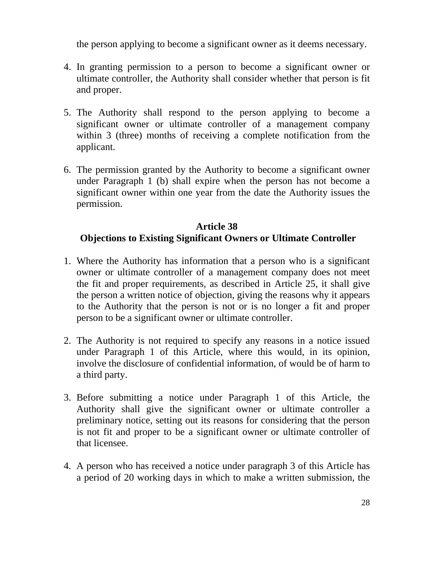the person applying to become a significant owner as it deems necessary.

- 4. In granting permission to a person to become a significant owner or ultimate controller, the Authority shall consider whether that person is fit and proper.
- 5. The Authority shall respond to the person applying to become a significant owner or ultimate controller of a management company within 3 (three) months of receiving a complete notification from the applicant.
- 6. The permission granted by the Authority to become a significant owner under Paragraph 1 (b) shall expire when the person has not become a significant owner within one year from the date the Authority issues the permission.

# **Article 38 Objections to Existing Significant Owners or Ultimate Controller**

- 1. Where the Authority has information that a person who is a significant owner or ultimate controller of a management company does not meet the fit and proper requirements, as described in Article 25, it shall give the person a written notice of objection, giving the reasons why it appears to the Authority that the person is not or is no longer a fit and proper person to be a significant owner or ultimate controller.
- 2. The Authority is not required to specify any reasons in a notice issued under Paragraph 1 of this Article, where this would, in its opinion, involve the disclosure of confidential information, of would be of harm to a third party.
- 3. Before submitting a notice under Paragraph 1 of this Article, the Authority shall give the significant owner or ultimate controller a preliminary notice, setting out its reasons for considering that the person is not fit and proper to be a significant owner or ultimate controller of that licensee.
- 4. A person who has received a notice under paragraph 3 of this Article has a period of 20 working days in which to make a written submission, the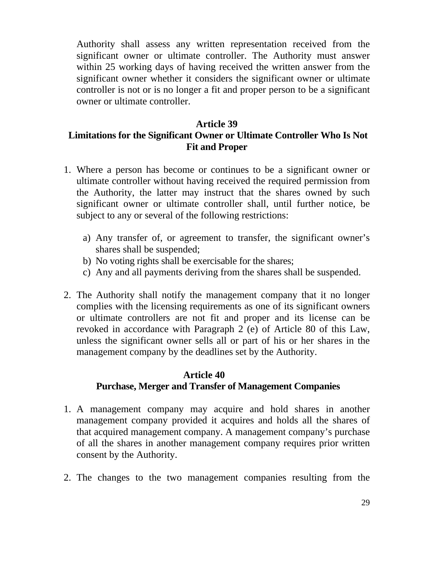Authority shall assess any written representation received from the significant owner or ultimate controller. The Authority must answer within 25 working days of having received the written answer from the significant owner whether it considers the significant owner or ultimate controller is not or is no longer a fit and proper person to be a significant owner or ultimate controller.

#### **Article 39**

# **Limitations for the Significant Owner or Ultimate Controller Who Is Not Fit and Proper**

- 1. Where a person has become or continues to be a significant owner or ultimate controller without having received the required permission from the Authority, the latter may instruct that the shares owned by such significant owner or ultimate controller shall, until further notice, be subject to any or several of the following restrictions:
	- a) Any transfer of, or agreement to transfer, the significant owner's shares shall be suspended;
	- b) No voting rights shall be exercisable for the shares;
	- c) Any and all payments deriving from the shares shall be suspended.
- 2. The Authority shall notify the management company that it no longer complies with the licensing requirements as one of its significant owners or ultimate controllers are not fit and proper and its license can be revoked in accordance with Paragraph 2 (e) of Article 80 of this Law, unless the significant owner sells all or part of his or her shares in the management company by the deadlines set by the Authority.

#### **Article 40 Purchase, Merger and Transfer of Management Companies**

- 1. A management company may acquire and hold shares in another management company provided it acquires and holds all the shares of that acquired management company. A management company's purchase of all the shares in another management company requires prior written consent by the Authority.
- 2. The changes to the two management companies resulting from the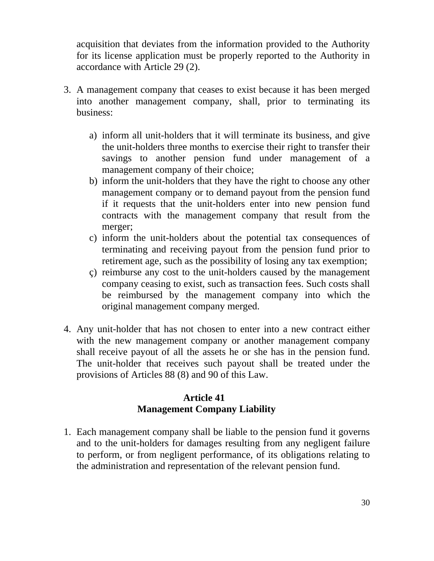acquisition that deviates from the information provided to the Authority for its license application must be properly reported to the Authority in accordance with Article 29 (2).

- 3. A management company that ceases to exist because it has been merged into another management company, shall, prior to terminating its business:
	- a) inform all unit-holders that it will terminate its business, and give the unit-holders three months to exercise their right to transfer their savings to another pension fund under management of a management company of their choice;
	- b) inform the unit-holders that they have the right to choose any other management company or to demand payout from the pension fund if it requests that the unit-holders enter into new pension fund contracts with the management company that result from the merger;
	- c) inform the unit-holders about the potential tax consequences of terminating and receiving payout from the pension fund prior to retirement age, such as the possibility of losing any tax exemption;
	- ç) reimburse any cost to the unit-holders caused by the management company ceasing to exist, such as transaction fees. Such costs shall be reimbursed by the management company into which the original management company merged.
- 4. Any unit-holder that has not chosen to enter into a new contract either with the new management company or another management company shall receive payout of all the assets he or she has in the pension fund. The unit-holder that receives such payout shall be treated under the provisions of Articles 88 (8) and 90 of this Law.

#### **Article 41 Management Company Liability**

1. Each management company shall be liable to the pension fund it governs and to the unit-holders for damages resulting from any negligent failure to perform, or from negligent performance, of its obligations relating to the administration and representation of the relevant pension fund.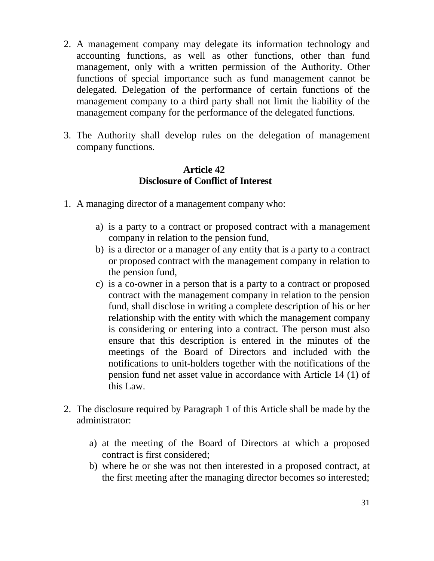- 2. A management company may delegate its information technology and accounting functions, as well as other functions, other than fund management, only with a written permission of the Authority. Other functions of special importance such as fund management cannot be delegated. Delegation of the performance of certain functions of the management company to a third party shall not limit the liability of the management company for the performance of the delegated functions.
- 3. The Authority shall develop rules on the delegation of management company functions.

#### **Article 42 Disclosure of Conflict of Interest**

- 1. A managing director of a management company who:
	- a) is a party to a contract or proposed contract with a management company in relation to the pension fund,
	- b) is a director or a manager of any entity that is a party to a contract or proposed contract with the management company in relation to the pension fund,
	- c) is a co-owner in a person that is a party to a contract or proposed contract with the management company in relation to the pension fund, shall disclose in writing a complete description of his or her relationship with the entity with which the management company is considering or entering into a contract. The person must also ensure that this description is entered in the minutes of the meetings of the Board of Directors and included with the notifications to unit-holders together with the notifications of the pension fund net asset value in accordance with Article 14 (1) of this Law.
- 2. The disclosure required by Paragraph 1 of this Article shall be made by the administrator:
	- a) at the meeting of the Board of Directors at which a proposed contract is first considered;
	- b) where he or she was not then interested in a proposed contract, at the first meeting after the managing director becomes so interested;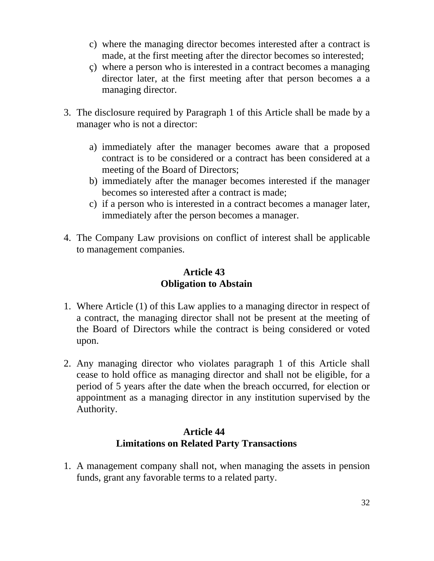- c) where the managing director becomes interested after a contract is made, at the first meeting after the director becomes so interested;
- ç) where a person who is interested in a contract becomes a managing director later, at the first meeting after that person becomes a a managing director.
- 3. The disclosure required by Paragraph 1 of this Article shall be made by a manager who is not a director:
	- a) immediately after the manager becomes aware that a proposed contract is to be considered or a contract has been considered at a meeting of the Board of Directors;
	- b) immediately after the manager becomes interested if the manager becomes so interested after a contract is made;
	- c) if a person who is interested in a contract becomes a manager later, immediately after the person becomes a manager.
- 4. The Company Law provisions on conflict of interest shall be applicable to management companies.

### **Article 43 Obligation to Abstain**

- 1. Where Article (1) of this Law applies to a managing director in respect of a contract, the managing director shall not be present at the meeting of the Board of Directors while the contract is being considered or voted upon.
- 2. Any managing director who violates paragraph 1 of this Article shall cease to hold office as managing director and shall not be eligible, for a period of 5 years after the date when the breach occurred, for election or appointment as a managing director in any institution supervised by the Authority.

# **Article 44 Limitations on Related Party Transactions**

1. A management company shall not, when managing the assets in pension funds, grant any favorable terms to a related party.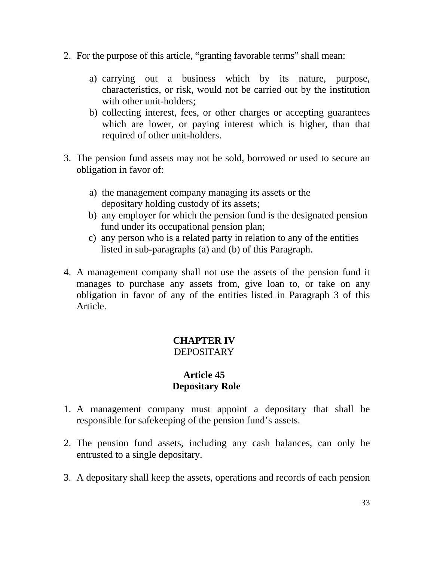- 2. For the purpose of this article, "granting favorable terms" shall mean:
	- a) carrying out a business which by its nature, purpose, characteristics, or risk, would not be carried out by the institution with other unit-holders;
	- b) collecting interest, fees, or other charges or accepting guarantees which are lower, or paying interest which is higher, than that required of other unit-holders.
- 3. The pension fund assets may not be sold, borrowed or used to secure an obligation in favor of:
	- a) the management company managing its assets or the depositary holding custody of its assets;
	- b) any employer for which the pension fund is the designated pension fund under its occupational pension plan;
	- c) any person who is a related party in relation to any of the entities listed in sub-paragraphs (a) and (b) of this Paragraph.
- 4. A management company shall not use the assets of the pension fund it manages to purchase any assets from, give loan to, or take on any obligation in favor of any of the entities listed in Paragraph 3 of this Article.

# **CHAPTER IV**  DEPOSITARY

# **Article 45 Depositary Role**

- 1. A management company must appoint a depositary that shall be responsible for safekeeping of the pension fund's assets.
- 2. The pension fund assets, including any cash balances, can only be entrusted to a single depositary.
- 3. A depositary shall keep the assets, operations and records of each pension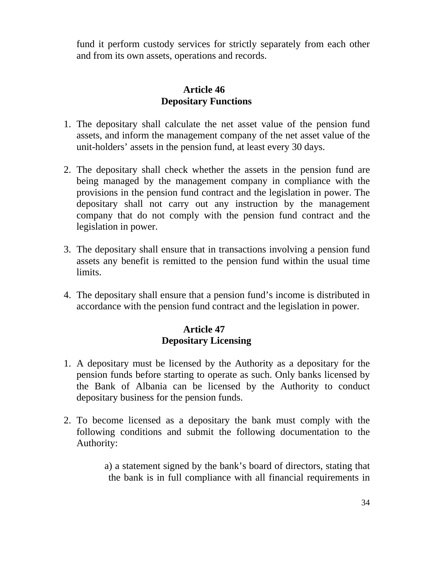fund it perform custody services for strictly separately from each other and from its own assets, operations and records.

### **Article 46 Depositary Functions**

- 1. The depositary shall calculate the net asset value of the pension fund assets, and inform the management company of the net asset value of the unit-holders' assets in the pension fund, at least every 30 days.
- 2. The depositary shall check whether the assets in the pension fund are being managed by the management company in compliance with the provisions in the pension fund contract and the legislation in power. The depositary shall not carry out any instruction by the management company that do not comply with the pension fund contract and the legislation in power.
- 3. The depositary shall ensure that in transactions involving a pension fund assets any benefit is remitted to the pension fund within the usual time limits.
- 4. The depositary shall ensure that a pension fund's income is distributed in accordance with the pension fund contract and the legislation in power.

### **Article 47 Depositary Licensing**

- 1. A depositary must be licensed by the Authority as a depositary for the pension funds before starting to operate as such. Only banks licensed by the Bank of Albania can be licensed by the Authority to conduct depositary business for the pension funds.
- 2. To become licensed as a depositary the bank must comply with the following conditions and submit the following documentation to the Authority:

 a) a statement signed by the bank's board of directors, stating that the bank is in full compliance with all financial requirements in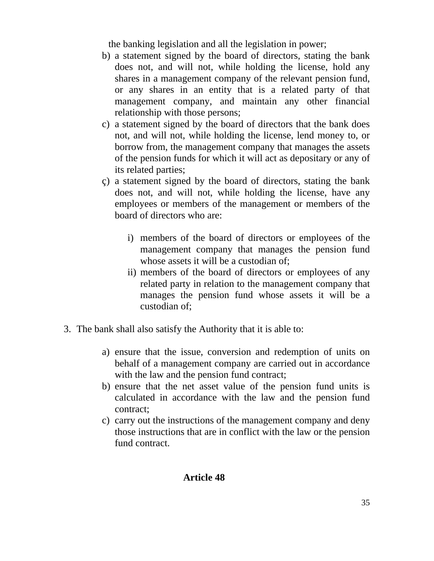the banking legislation and all the legislation in power;

- b) a statement signed by the board of directors, stating the bank does not, and will not, while holding the license, hold any shares in a management company of the relevant pension fund, or any shares in an entity that is a related party of that management company, and maintain any other financial relationship with those persons;
- c) a statement signed by the board of directors that the bank does not, and will not, while holding the license, lend money to, or borrow from, the management company that manages the assets of the pension funds for which it will act as depositary or any of its related parties;
- ç) a statement signed by the board of directors, stating the bank does not, and will not, while holding the license, have any employees or members of the management or members of the board of directors who are:
	- i) members of the board of directors or employees of the management company that manages the pension fund whose assets it will be a custodian of;
	- ii) members of the board of directors or employees of any related party in relation to the management company that manages the pension fund whose assets it will be a custodian of;
- 3. The bank shall also satisfy the Authority that it is able to:
	- a) ensure that the issue, conversion and redemption of units on behalf of a management company are carried out in accordance with the law and the pension fund contract;
	- b) ensure that the net asset value of the pension fund units is calculated in accordance with the law and the pension fund contract;
	- c) carry out the instructions of the management company and deny those instructions that are in conflict with the law or the pension fund contract.

#### **Article 48**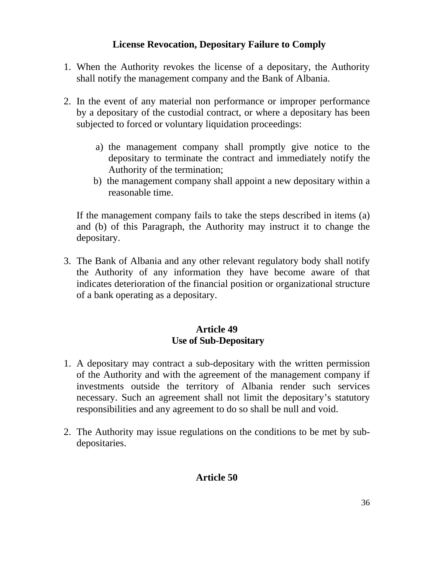# **License Revocation, Depositary Failure to Comply**

- 1. When the Authority revokes the license of a depositary, the Authority shall notify the management company and the Bank of Albania.
- 2. In the event of any material non performance or improper performance by a depositary of the custodial contract, or where a depositary has been subjected to forced or voluntary liquidation proceedings:
	- a) the management company shall promptly give notice to the depositary to terminate the contract and immediately notify the Authority of the termination;
	- b) the management company shall appoint a new depositary within a reasonable time.

 If the management company fails to take the steps described in items (a) and (b) of this Paragraph, the Authority may instruct it to change the depositary.

3. The Bank of Albania and any other relevant regulatory body shall notify the Authority of any information they have become aware of that indicates deterioration of the financial position or organizational structure of a bank operating as a depositary.

# **Article 49 Use of Sub-Depositary**

- 1. A depositary may contract a sub-depositary with the written permission of the Authority and with the agreement of the management company if investments outside the territory of Albania render such services necessary. Such an agreement shall not limit the depositary's statutory responsibilities and any agreement to do so shall be null and void.
- 2. The Authority may issue regulations on the conditions to be met by subdepositaries.

# **Article 50**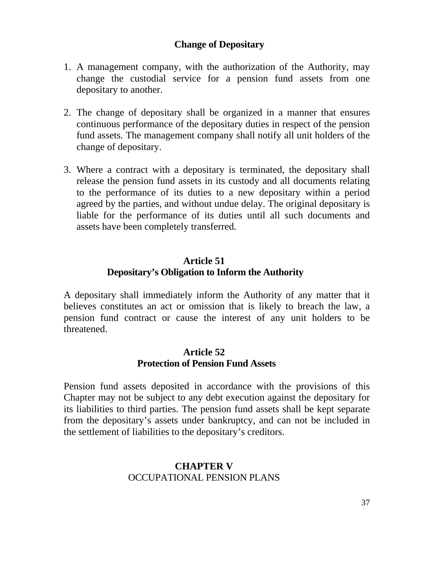### **Change of Depositary**

- 1. A management company, with the authorization of the Authority, may change the custodial service for a pension fund assets from one depositary to another.
- 2. The change of depositary shall be organized in a manner that ensures continuous performance of the depositary duties in respect of the pension fund assets. The management company shall notify all unit holders of the change of depositary.
- 3. Where a contract with a depositary is terminated, the depositary shall release the pension fund assets in its custody and all documents relating to the performance of its duties to a new depositary within a period agreed by the parties, and without undue delay. The original depositary is liable for the performance of its duties until all such documents and assets have been completely transferred.

# **Article 51 Depositary's Obligation to Inform the Authority**

A depositary shall immediately inform the Authority of any matter that it believes constitutes an act or omission that is likely to breach the law, a pension fund contract or cause the interest of any unit holders to be threatened.

#### **Article 52 Protection of Pension Fund Assets**

Pension fund assets deposited in accordance with the provisions of this Chapter may not be subject to any debt execution against the depositary for its liabilities to third parties. The pension fund assets shall be kept separate from the depositary's assets under bankruptcy, and can not be included in the settlement of liabilities to the depositary's creditors.

#### **CHAPTER V**  OCCUPATIONAL PENSION PLANS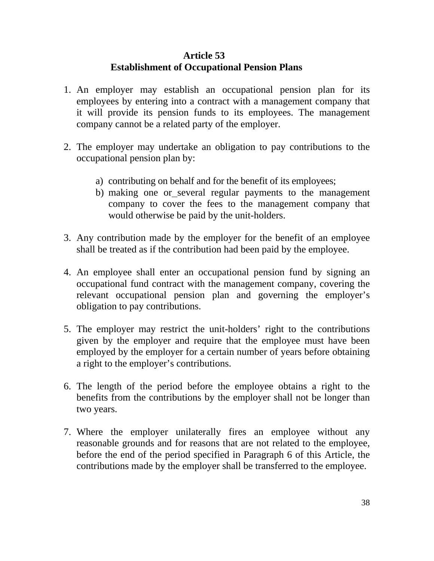### **Article 53 Establishment of Occupational Pension Plans**

- 1. An employer may establish an occupational pension plan for its employees by entering into a contract with a management company that it will provide its pension funds to its employees. The management company cannot be a related party of the employer.
- 2. The employer may undertake an obligation to pay contributions to the occupational pension plan by:
	- a) contributing on behalf and for the benefit of its employees;
	- b) making one or several regular payments to the management company to cover the fees to the management company that would otherwise be paid by the unit-holders.
- 3. Any contribution made by the employer for the benefit of an employee shall be treated as if the contribution had been paid by the employee.
- 4. An employee shall enter an occupational pension fund by signing an occupational fund contract with the management company, covering the relevant occupational pension plan and governing the employer's obligation to pay contributions.
- 5. The employer may restrict the unit-holders' right to the contributions given by the employer and require that the employee must have been employed by the employer for a certain number of years before obtaining a right to the employer's contributions.
- 6. The length of the period before the employee obtains a right to the benefits from the contributions by the employer shall not be longer than two years.
- 7. Where the employer unilaterally fires an employee without any reasonable grounds and for reasons that are not related to the employee, before the end of the period specified in Paragraph 6 of this Article, the contributions made by the employer shall be transferred to the employee.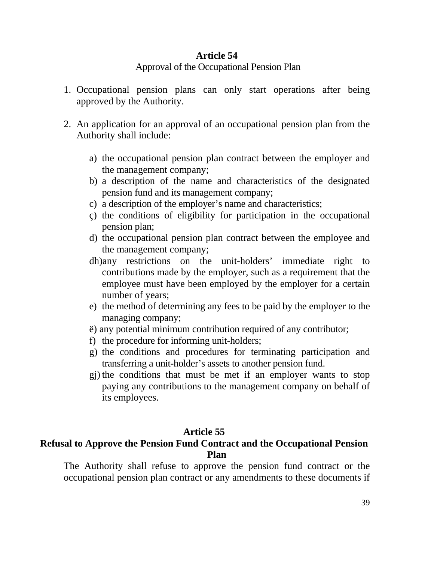### **Article 54**

#### Approval of the Occupational Pension Plan

- 1. Occupational pension plans can only start operations after being approved by the Authority.
- 2. An application for an approval of an occupational pension plan from the Authority shall include:
	- a) the occupational pension plan contract between the employer and the management company;
	- b) a description of the name and characteristics of the designated pension fund and its management company;
	- c) a description of the employer's name and characteristics;
	- ç) the conditions of eligibility for participation in the occupational pension plan;
	- d) the occupational pension plan contract between the employee and the management company;
	- dh)any restrictions on the unit-holders' immediate right to contributions made by the employer, such as a requirement that the employee must have been employed by the employer for a certain number of years;
	- e) the method of determining any fees to be paid by the employer to the managing company;
	- ë) any potential minimum contribution required of any contributor;
	- f) the procedure for informing unit-holders;
	- g) the conditions and procedures for terminating participation and transferring a unit-holder's assets to another pension fund.
	- gj) the conditions that must be met if an employer wants to stop paying any contributions to the management company on behalf of its employees.

# **Article 55**

# **Refusal to Approve the Pension Fund Contract and the Occupational Pension Plan**

The Authority shall refuse to approve the pension fund contract or the occupational pension plan contract or any amendments to these documents if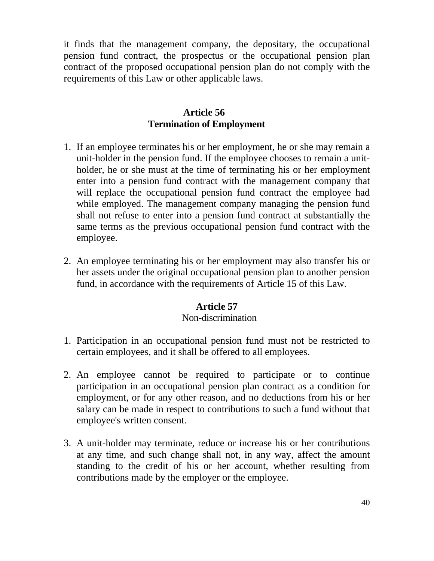it finds that the management company, the depositary, the occupational pension fund contract, the prospectus or the occupational pension plan contract of the proposed occupational pension plan do not comply with the requirements of this Law or other applicable laws.

### **Article 56 Termination of Employment**

- 1. If an employee terminates his or her employment, he or she may remain a unit-holder in the pension fund. If the employee chooses to remain a unitholder, he or she must at the time of terminating his or her employment enter into a pension fund contract with the management company that will replace the occupational pension fund contract the employee had while employed. The management company managing the pension fund shall not refuse to enter into a pension fund contract at substantially the same terms as the previous occupational pension fund contract with the employee.
- 2. An employee terminating his or her employment may also transfer his or her assets under the original occupational pension plan to another pension fund, in accordance with the requirements of Article 15 of this Law.

#### **Article 57**

#### Non-discrimination

- 1. Participation in an occupational pension fund must not be restricted to certain employees, and it shall be offered to all employees.
- 2. An employee cannot be required to participate or to continue participation in an occupational pension plan contract as a condition for employment, or for any other reason, and no deductions from his or her salary can be made in respect to contributions to such a fund without that employee's written consent.
- 3. A unit-holder may terminate, reduce or increase his or her contributions at any time, and such change shall not, in any way, affect the amount standing to the credit of his or her account, whether resulting from contributions made by the employer or the employee.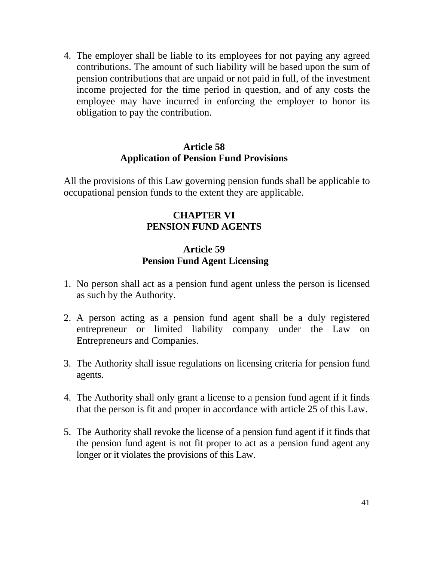4. The employer shall be liable to its employees for not paying any agreed contributions. The amount of such liability will be based upon the sum of pension contributions that are unpaid or not paid in full, of the investment income projected for the time period in question, and of any costs the employee may have incurred in enforcing the employer to honor its obligation to pay the contribution.

#### **Article 58 Application of Pension Fund Provisions**

All the provisions of this Law governing pension funds shall be applicable to occupational pension funds to the extent they are applicable.

# **CHAPTER VI PENSION FUND AGENTS**

### **Article 59 Pension Fund Agent Licensing**

- 1. No person shall act as a pension fund agent unless the person is licensed as such by the Authority.
- 2. A person acting as a pension fund agent shall be a duly registered entrepreneur or limited liability company under the Law on Entrepreneurs and Companies.
- 3. The Authority shall issue regulations on licensing criteria for pension fund agents.
- 4. The Authority shall only grant a license to a pension fund agent if it finds that the person is fit and proper in accordance with article 25 of this Law.
- 5. The Authority shall revoke the license of a pension fund agent if it finds that the pension fund agent is not fit proper to act as a pension fund agent any longer or it violates the provisions of this Law.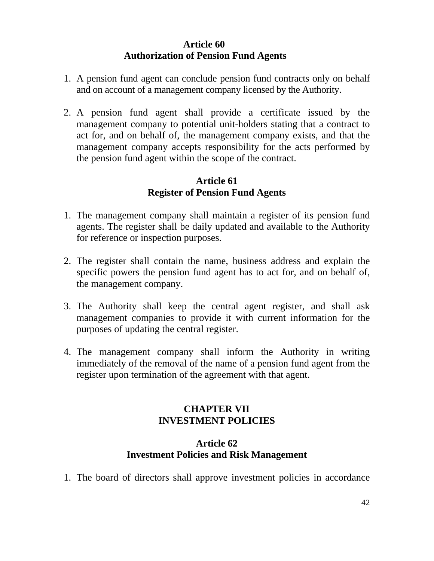# **Article 60 Authorization of Pension Fund Agents**

- 1. A pension fund agent can conclude pension fund contracts only on behalf and on account of a management company licensed by the Authority.
- 2. A pension fund agent shall provide a certificate issued by the management company to potential unit-holders stating that a contract to act for, and on behalf of, the management company exists, and that the management company accepts responsibility for the acts performed by the pension fund agent within the scope of the contract.

### **Article 61 Register of Pension Fund Agents**

- 1. The management company shall maintain a register of its pension fund agents. The register shall be daily updated and available to the Authority for reference or inspection purposes.
- 2. The register shall contain the name, business address and explain the specific powers the pension fund agent has to act for, and on behalf of, the management company.
- 3. The Authority shall keep the central agent register, and shall ask management companies to provide it with current information for the purposes of updating the central register.
- 4. The management company shall inform the Authority in writing immediately of the removal of the name of a pension fund agent from the register upon termination of the agreement with that agent.

# **CHAPTER VII INVESTMENT POLICIES**

#### **Article 62 Investment Policies and Risk Management**

1. The board of directors shall approve investment policies in accordance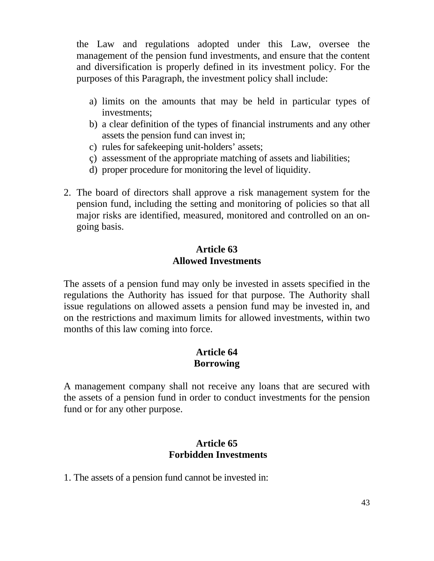the Law and regulations adopted under this Law, oversee the management of the pension fund investments, and ensure that the content and diversification is properly defined in its investment policy. For the purposes of this Paragraph, the investment policy shall include:

- a) limits on the amounts that may be held in particular types of investments;
- b) a clear definition of the types of financial instruments and any other assets the pension fund can invest in;
- c) rules for safekeeping unit-holders' assets;
- ç) assessment of the appropriate matching of assets and liabilities;
- d) proper procedure for monitoring the level of liquidity.
- 2. The board of directors shall approve a risk management system for the pension fund, including the setting and monitoring of policies so that all major risks are identified, measured, monitored and controlled on an ongoing basis.

#### **Article 63 Allowed Investments**

 The assets of a pension fund may only be invested in assets specified in the regulations the Authority has issued for that purpose. The Authority shall issue regulations on allowed assets a pension fund may be invested in, and on the restrictions and maximum limits for allowed investments, within two months of this law coming into force.

### **Article 64 Borrowing**

A management company shall not receive any loans that are secured with the assets of a pension fund in order to conduct investments for the pension fund or for any other purpose.

### **Article 65 Forbidden Investments**

1. The assets of a pension fund cannot be invested in: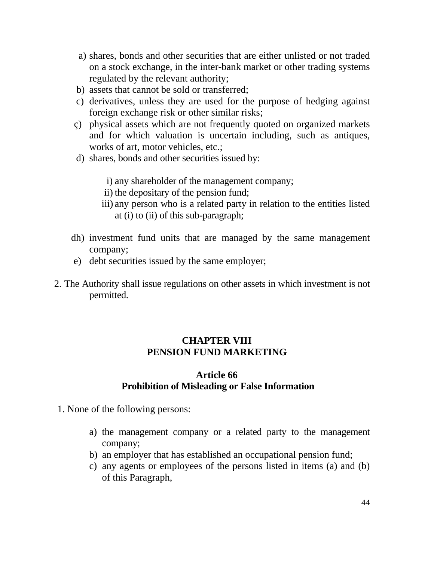- a) shares, bonds and other securities that are either unlisted or not traded on a stock exchange, in the inter-bank market or other trading systems regulated by the relevant authority;
- b) assets that cannot be sold or transferred;
- c) derivatives, unless they are used for the purpose of hedging against foreign exchange risk or other similar risks;
- ç) physical assets which are not frequently quoted on organized markets and for which valuation is uncertain including, such as antiques, works of art, motor vehicles, etc.;
- d) shares, bonds and other securities issued by:

i) any shareholder of the management company;

- ii) the depositary of the pension fund;
- iii) any person who is a related party in relation to the entities listed at (i) to (ii) of this sub-paragraph;
- dh) investment fund units that are managed by the same management company;
- e) debt securities issued by the same employer;
- 2. The Authority shall issue regulations on other assets in which investment is not permitted.

# **CHAPTER VIII PENSION FUND MARKETING**

#### **Article 66 Prohibition of Misleading or False Information**

- 1. None of the following persons:
	- a) the management company or a related party to the management company;
	- b) an employer that has established an occupational pension fund;
	- c) any agents or employees of the persons listed in items (a) and (b) of this Paragraph,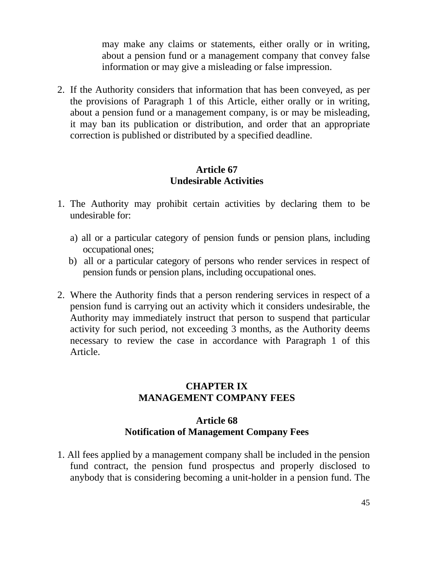may make any claims or statements, either orally or in writing, about a pension fund or a management company that convey false information or may give a misleading or false impression.

2. If the Authority considers that information that has been conveyed, as per the provisions of Paragraph 1 of this Article, either orally or in writing, about a pension fund or a management company, is or may be misleading, it may ban its publication or distribution, and order that an appropriate correction is published or distributed by a specified deadline.

#### **Article 67 Undesirable Activities**

- 1. The Authority may prohibit certain activities by declaring them to be undesirable for:
	- a) all or a particular category of pension funds or pension plans, including occupational ones;
	- b) all or a particular category of persons who render services in respect of pension funds or pension plans, including occupational ones.
- 2. Where the Authority finds that a person rendering services in respect of a pension fund is carrying out an activity which it considers undesirable, the Authority may immediately instruct that person to suspend that particular activity for such period, not exceeding 3 months, as the Authority deems necessary to review the case in accordance with Paragraph 1 of this Article.

### **CHAPTER IX MANAGEMENT COMPANY FEES**

#### **Article 68 Notification of Management Company Fees**

1. All fees applied by a management company shall be included in the pension fund contract, the pension fund prospectus and properly disclosed to anybody that is considering becoming a unit-holder in a pension fund. The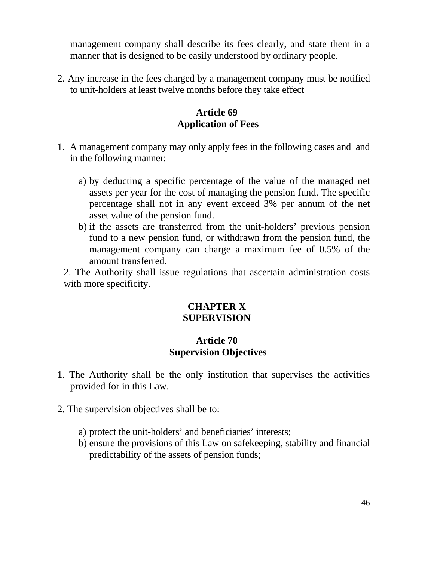management company shall describe its fees clearly, and state them in a manner that is designed to be easily understood by ordinary people.

2. Any increase in the fees charged by a management company must be notified to unit-holders at least twelve months before they take effect

# **Article 69 Application of Fees**

- 1. A management company may only apply fees in the following cases and and in the following manner:
	- a) by deducting a specific percentage of the value of the managed net assets per year for the cost of managing the pension fund. The specific percentage shall not in any event exceed 3% per annum of the net asset value of the pension fund.
	- b) if the assets are transferred from the unit-holders' previous pension fund to a new pension fund, or withdrawn from the pension fund, the management company can charge a maximum fee of 0.5% of the amount transferred.

2. The Authority shall issue regulations that ascertain administration costs with more specificity.

# **CHAPTER X SUPERVISION**

### **Article 70 Supervision Objectives**

- 1. The Authority shall be the only institution that supervises the activities provided for in this Law.
- 2. The supervision objectives shall be to:
	- a) protect the unit-holders' and beneficiaries' interests;
	- b) ensure the provisions of this Law on safekeeping, stability and financial predictability of the assets of pension funds;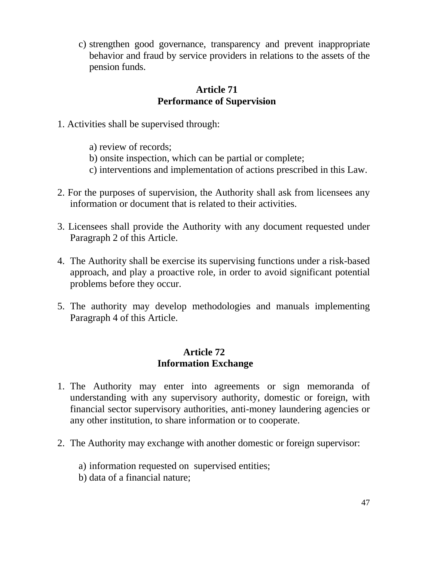c) strengthen good governance, transparency and prevent inappropriate behavior and fraud by service providers in relations to the assets of the pension funds.

#### **Article 71 Performance of Supervision**

- 1. Activities shall be supervised through:
	- a) review of records;
	- b) onsite inspection, which can be partial or complete;
	- c) interventions and implementation of actions prescribed in this Law.
- 2. For the purposes of supervision, the Authority shall ask from licensees any information or document that is related to their activities.
- 3. Licensees shall provide the Authority with any document requested under Paragraph 2 of this Article.
- 4. The Authority shall be exercise its supervising functions under a risk-based approach, and play a proactive role, in order to avoid significant potential problems before they occur.
- 5. The authority may develop methodologies and manuals implementing Paragraph 4 of this Article.

#### **Article 72 Information Exchange**

- 1. The Authority may enter into agreements or sign memoranda of understanding with any supervisory authority, domestic or foreign, with financial sector supervisory authorities, anti-money laundering agencies or any other institution, to share information or to cooperate.
- 2. The Authority may exchange with another domestic or foreign supervisor:
	- a) information requested on supervised entities;
	- b) data of a financial nature;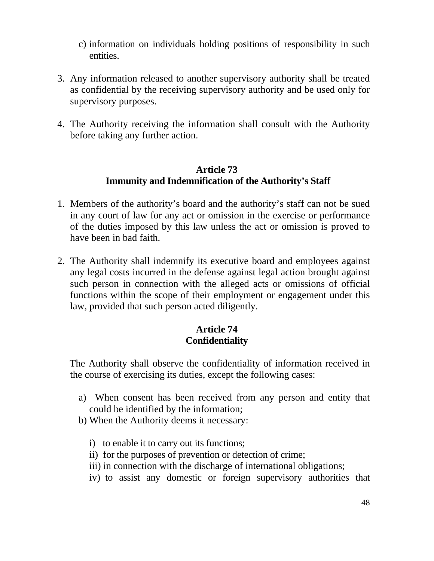- c) information on individuals holding positions of responsibility in such entities.
- 3. Any information released to another supervisory authority shall be treated as confidential by the receiving supervisory authority and be used only for supervisory purposes.
- 4. The Authority receiving the information shall consult with the Authority before taking any further action.

#### **Article 73 Immunity and Indemnification of the Authority's Staff**

- 1. Members of the authority's board and the authority's staff can not be sued in any court of law for any act or omission in the exercise or performance of the duties imposed by this law unless the act or omission is proved to have been in bad faith.
- 2. The Authority shall indemnify its executive board and employees against any legal costs incurred in the defense against legal action brought against such person in connection with the alleged acts or omissions of official functions within the scope of their employment or engagement under this law, provided that such person acted diligently.

### **Article 74 Confidentiality**

 The Authority shall observe the confidentiality of information received in the course of exercising its duties, except the following cases:

- a) When consent has been received from any person and entity that could be identified by the information;
- b) When the Authority deems it necessary:
	- i) to enable it to carry out its functions;
	- ii) for the purposes of prevention or detection of crime;
	- iii) in connection with the discharge of international obligations;
	- iv) to assist any domestic or foreign supervisory authorities that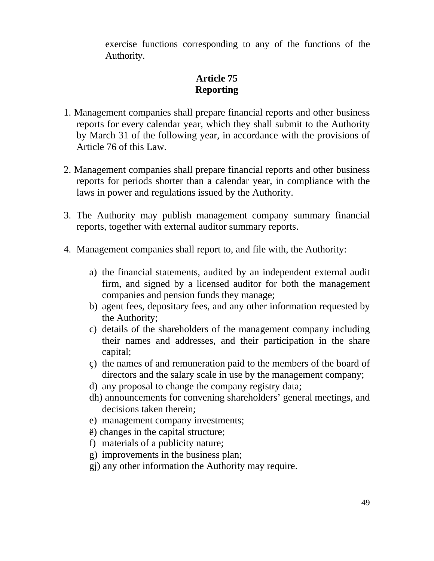exercise functions corresponding to any of the functions of the Authority.

# **Article 75 Reporting**

- 1. Management companies shall prepare financial reports and other business reports for every calendar year, which they shall submit to the Authority by March 31 of the following year, in accordance with the provisions of Article 76 of this Law.
- 2. Management companies shall prepare financial reports and other business reports for periods shorter than a calendar year, in compliance with the laws in power and regulations issued by the Authority.
- 3. The Authority may publish management company summary financial reports, together with external auditor summary reports.
- 4. Management companies shall report to, and file with, the Authority:
	- a) the financial statements, audited by an independent external audit firm, and signed by a licensed auditor for both the management companies and pension funds they manage;
	- b) agent fees, depositary fees, and any other information requested by the Authority;
	- c) details of the shareholders of the management company including their names and addresses, and their participation in the share capital;
	- ç) the names of and remuneration paid to the members of the board of directors and the salary scale in use by the management company;
	- d) any proposal to change the company registry data;
	- dh) announcements for convening shareholders' general meetings, and decisions taken therein;
	- e) management company investments;
	- ë) changes in the capital structure;
	- f) materials of a publicity nature;
	- g) improvements in the business plan;
	- gj) any other information the Authority may require.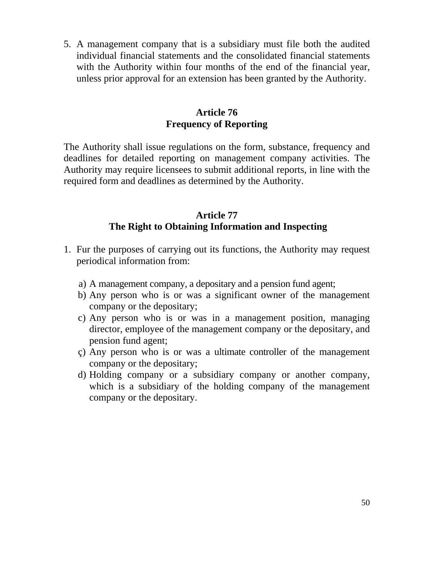5. A management company that is a subsidiary must file both the audited individual financial statements and the consolidated financial statements with the Authority within four months of the end of the financial year, unless prior approval for an extension has been granted by the Authority.

### **Article 76 Frequency of Reporting**

The Authority shall issue regulations on the form, substance, frequency and deadlines for detailed reporting on management company activities. The Authority may require licensees to submit additional reports, in line with the required form and deadlines as determined by the Authority.

### **Article 77 The Right to Obtaining Information and Inspecting**

- 1. Fur the purposes of carrying out its functions, the Authority may request periodical information from:
	- a) A management company, a depositary and a pension fund agent;
	- b) Any person who is or was a significant owner of the management company or the depositary;
	- c) Any person who is or was in a management position, managing director, employee of the management company or the depositary, and pension fund agent;
	- ç) Any person who is or was a ultimate controller of the management company or the depositary;
	- d) Holding company or a subsidiary company or another company, which is a subsidiary of the holding company of the management company or the depositary.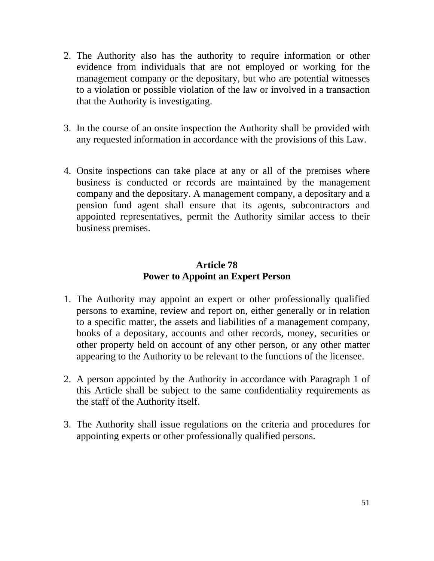- 2. The Authority also has the authority to require information or other evidence from individuals that are not employed or working for the management company or the depositary, but who are potential witnesses to a violation or possible violation of the law or involved in a transaction that the Authority is investigating.
- 3. In the course of an onsite inspection the Authority shall be provided with any requested information in accordance with the provisions of this Law.
- 4. Onsite inspections can take place at any or all of the premises where business is conducted or records are maintained by the management company and the depositary. A management company, a depositary and a pension fund agent shall ensure that its agents, subcontractors and appointed representatives, permit the Authority similar access to their business premises.

# **Article 78 Power to Appoint an Expert Person**

- 1. The Authority may appoint an expert or other professionally qualified persons to examine, review and report on, either generally or in relation to a specific matter, the assets and liabilities of a management company, books of a depositary, accounts and other records, money, securities or other property held on account of any other person, or any other matter appearing to the Authority to be relevant to the functions of the licensee.
- 2. A person appointed by the Authority in accordance with Paragraph 1 of this Article shall be subject to the same confidentiality requirements as the staff of the Authority itself.
- 3. The Authority shall issue regulations on the criteria and procedures for appointing experts or other professionally qualified persons.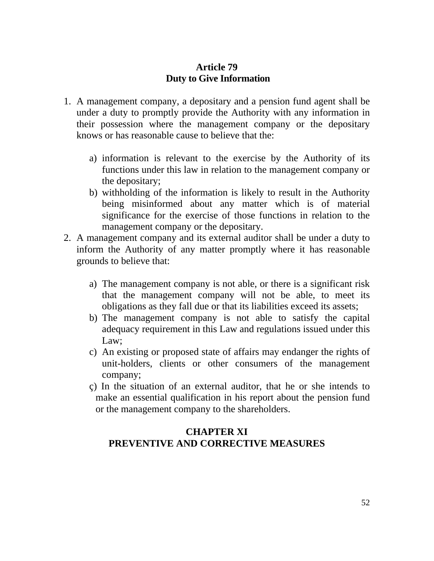# **Article 79 Duty to Give Information**

- 1. A management company, a depositary and a pension fund agent shall be under a duty to promptly provide the Authority with any information in their possession where the management company or the depositary knows or has reasonable cause to believe that the:
	- a) information is relevant to the exercise by the Authority of its functions under this law in relation to the management company or the depositary;
	- b) withholding of the information is likely to result in the Authority being misinformed about any matter which is of material significance for the exercise of those functions in relation to the management company or the depositary.
- 2. A management company and its external auditor shall be under a duty to inform the Authority of any matter promptly where it has reasonable grounds to believe that:
	- a) The management company is not able, or there is a significant risk that the management company will not be able, to meet its obligations as they fall due or that its liabilities exceed its assets;
	- b) The management company is not able to satisfy the capital adequacy requirement in this Law and regulations issued under this Law;
	- c) An existing or proposed state of affairs may endanger the rights of unit-holders, clients or other consumers of the management company;
	- ç) In the situation of an external auditor, that he or she intends to make an essential qualification in his report about the pension fund or the management company to the shareholders.

# **CHAPTER XI PREVENTIVE AND CORRECTIVE MEASURES**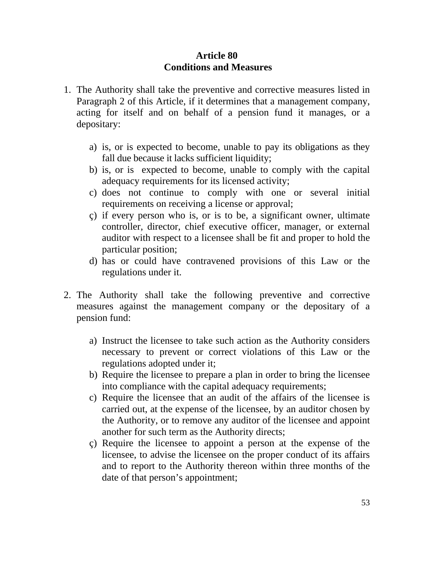#### **Article 80 Conditions and Measures**

- 1. The Authority shall take the preventive and corrective measures listed in Paragraph 2 of this Article, if it determines that a management company, acting for itself and on behalf of a pension fund it manages, or a depositary:
	- a) is, or is expected to become, unable to pay its obligations as they fall due because it lacks sufficient liquidity;
	- b) is, or is expected to become, unable to comply with the capital adequacy requirements for its licensed activity;
	- c) does not continue to comply with one or several initial requirements on receiving a license or approval;
	- ç) if every person who is, or is to be, a significant owner, ultimate controller, director, chief executive officer, manager, or external auditor with respect to a licensee shall be fit and proper to hold the particular position;
	- d) has or could have contravened provisions of this Law or the regulations under it.
- 2. The Authority shall take the following preventive and corrective measures against the management company or the depositary of a pension fund:
	- a) Instruct the licensee to take such action as the Authority considers necessary to prevent or correct violations of this Law or the regulations adopted under it;
	- b) Require the licensee to prepare a plan in order to bring the licensee into compliance with the capital adequacy requirements;
	- c) Require the licensee that an audit of the affairs of the licensee is carried out, at the expense of the licensee, by an auditor chosen by the Authority, or to remove any auditor of the licensee and appoint another for such term as the Authority directs;
	- ç) Require the licensee to appoint a person at the expense of the licensee, to advise the licensee on the proper conduct of its affairs and to report to the Authority thereon within three months of the date of that person's appointment;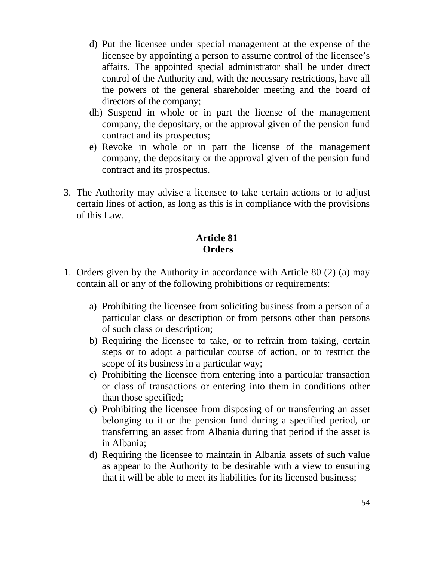- d) Put the licensee under special management at the expense of the licensee by appointing a person to assume control of the licensee's affairs. The appointed special administrator shall be under direct control of the Authority and, with the necessary restrictions, have all the powers of the general shareholder meeting and the board of directors of the company;
- dh) Suspend in whole or in part the license of the management company, the depositary, or the approval given of the pension fund contract and its prospectus;
- e) Revoke in whole or in part the license of the management company, the depositary or the approval given of the pension fund contract and its prospectus.
- 3. The Authority may advise a licensee to take certain actions or to adjust certain lines of action, as long as this is in compliance with the provisions of this Law.

## **Article 81 Orders**

- 1. Orders given by the Authority in accordance with Article 80 (2) (a) may contain all or any of the following prohibitions or requirements:
	- a) Prohibiting the licensee from soliciting business from a person of a particular class or description or from persons other than persons of such class or description;
	- b) Requiring the licensee to take, or to refrain from taking, certain steps or to adopt a particular course of action, or to restrict the scope of its business in a particular way;
	- c) Prohibiting the licensee from entering into a particular transaction or class of transactions or entering into them in conditions other than those specified;
	- ç) Prohibiting the licensee from disposing of or transferring an asset belonging to it or the pension fund during a specified period, or transferring an asset from Albania during that period if the asset is in Albania;
	- d) Requiring the licensee to maintain in Albania assets of such value as appear to the Authority to be desirable with a view to ensuring that it will be able to meet its liabilities for its licensed business;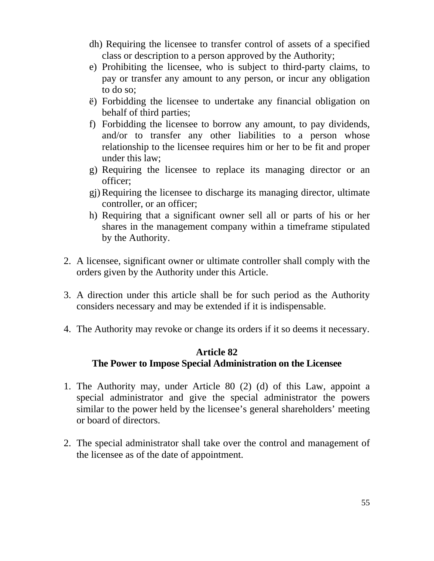- dh) Requiring the licensee to transfer control of assets of a specified class or description to a person approved by the Authority;
- e) Prohibiting the licensee, who is subject to third-party claims, to pay or transfer any amount to any person, or incur any obligation to do so;
- ë) Forbidding the licensee to undertake any financial obligation on behalf of third parties;
- f) Forbidding the licensee to borrow any amount, to pay dividends, and/or to transfer any other liabilities to a person whose relationship to the licensee requires him or her to be fit and proper under this law;
- g) Requiring the licensee to replace its managing director or an officer;
- gj) Requiring the licensee to discharge its managing director, ultimate controller, or an officer;
- h) Requiring that a significant owner sell all or parts of his or her shares in the management company within a timeframe stipulated by the Authority.
- 2. A licensee, significant owner or ultimate controller shall comply with the orders given by the Authority under this Article.
- 3. A direction under this article shall be for such period as the Authority considers necessary and may be extended if it is indispensable.
- 4. The Authority may revoke or change its orders if it so deems it necessary.

### **Article 82 The Power to Impose Special Administration on the Licensee**

- 1. The Authority may, under Article 80 (2) (d) of this Law, appoint a special administrator and give the special administrator the powers similar to the power held by the licensee's general shareholders' meeting or board of directors.
- 2. The special administrator shall take over the control and management of the licensee as of the date of appointment.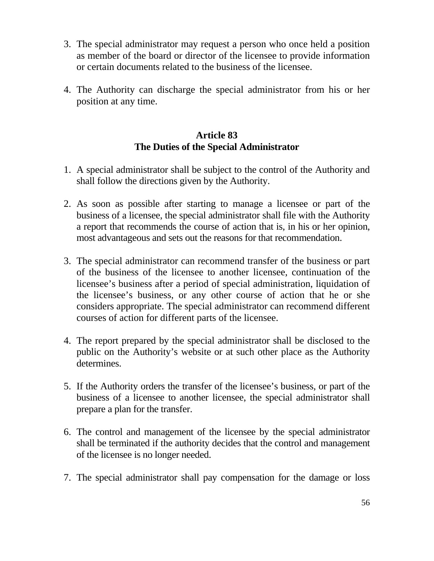- 3. The special administrator may request a person who once held a position as member of the board or director of the licensee to provide information or certain documents related to the business of the licensee.
- 4. The Authority can discharge the special administrator from his or her position at any time.

# **Article 83 The Duties of the Special Administrator**

- 1. A special administrator shall be subject to the control of the Authority and shall follow the directions given by the Authority.
- 2. As soon as possible after starting to manage a licensee or part of the business of a licensee, the special administrator shall file with the Authority a report that recommends the course of action that is, in his or her opinion, most advantageous and sets out the reasons for that recommendation.
- 3. The special administrator can recommend transfer of the business or part of the business of the licensee to another licensee, continuation of the licensee's business after a period of special administration, liquidation of the licensee's business, or any other course of action that he or she considers appropriate. The special administrator can recommend different courses of action for different parts of the licensee.
- 4. The report prepared by the special administrator shall be disclosed to the public on the Authority's website or at such other place as the Authority determines.
- 5. If the Authority orders the transfer of the licensee's business, or part of the business of a licensee to another licensee, the special administrator shall prepare a plan for the transfer.
- 6. The control and management of the licensee by the special administrator shall be terminated if the authority decides that the control and management of the licensee is no longer needed.
- 7. The special administrator shall pay compensation for the damage or loss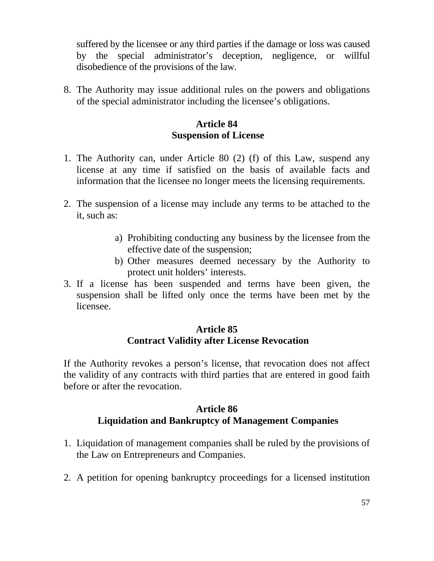suffered by the licensee or any third parties if the damage or loss was caused by the special administrator's deception, negligence, or willful disobedience of the provisions of the law.

8. The Authority may issue additional rules on the powers and obligations of the special administrator including the licensee's obligations.

### **Article 84 Suspension of License**

- 1. The Authority can, under Article 80 (2) (f) of this Law, suspend any license at any time if satisfied on the basis of available facts and information that the licensee no longer meets the licensing requirements.
- 2. The suspension of a license may include any terms to be attached to the it, such as:
	- a) Prohibiting conducting any business by the licensee from the effective date of the suspension;
	- b) Other measures deemed necessary by the Authority to protect unit holders' interests.
- 3. If a license has been suspended and terms have been given, the suspension shall be lifted only once the terms have been met by the licensee.

### **Article 85 Contract Validity after License Revocation**

If the Authority revokes a person's license, that revocation does not affect the validity of any contracts with third parties that are entered in good faith before or after the revocation.

#### **Article 86 Liquidation and Bankruptcy of Management Companies**

- 1. Liquidation of management companies shall be ruled by the provisions of the Law on Entrepreneurs and Companies.
- 2. A petition for opening bankruptcy proceedings for a licensed institution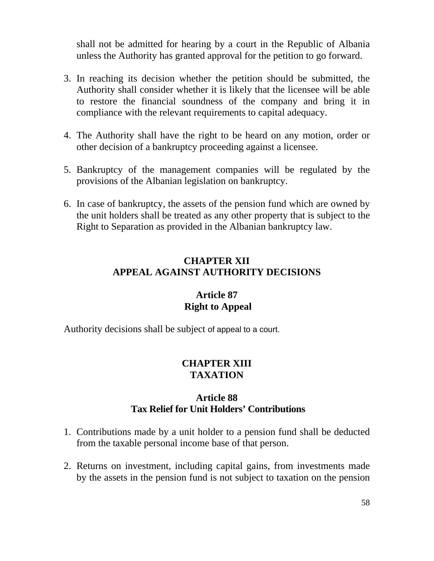shall not be admitted for hearing by a court in the Republic of Albania unless the Authority has granted approval for the petition to go forward.

- 3. In reaching its decision whether the petition should be submitted, the Authority shall consider whether it is likely that the licensee will be able to restore the financial soundness of the company and bring it in compliance with the relevant requirements to capital adequacy.
- 4. The Authority shall have the right to be heard on any motion, order or other decision of a bankruptcy proceeding against a licensee.
- 5. Bankruptcy of the management companies will be regulated by the provisions of the Albanian legislation on bankruptcy.
- 6. In case of bankruptcy, the assets of the pension fund which are owned by the unit holders shall be treated as any other property that is subject to the Right to Separation as provided in the Albanian bankruptcy law.

# **CHAPTER XII APPEAL AGAINST AUTHORITY DECISIONS**

### **Article 87 Right to Appeal**

Authority decisions shall be subject of appeal to a court.

### **CHAPTER XIII TAXATION**

#### **Article 88 Tax Relief for Unit Holders' Contributions**

- 1. Contributions made by a unit holder to a pension fund shall be deducted from the taxable personal income base of that person.
- 2. Returns on investment, including capital gains, from investments made by the assets in the pension fund is not subject to taxation on the pension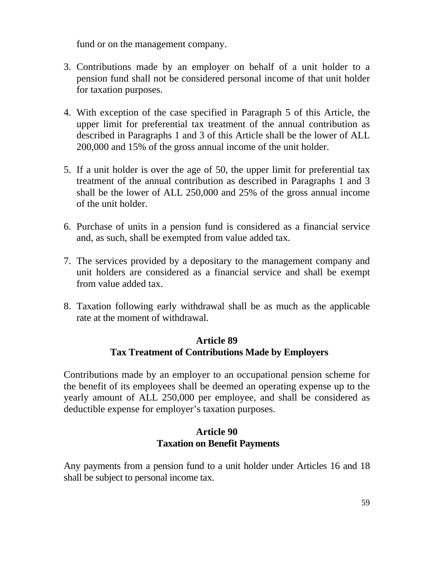fund or on the management company.

- 3. Contributions made by an employer on behalf of a unit holder to a pension fund shall not be considered personal income of that unit holder for taxation purposes.
- 4. With exception of the case specified in Paragraph 5 of this Article, the upper limit for preferential tax treatment of the annual contribution as described in Paragraphs 1 and 3 of this Article shall be the lower of ALL 200,000 and 15% of the gross annual income of the unit holder.
- 5. If a unit holder is over the age of 50, the upper limit for preferential tax treatment of the annual contribution as described in Paragraphs 1 and 3 shall be the lower of ALL 250,000 and 25% of the gross annual income of the unit holder.
- 6. Purchase of units in a pension fund is considered as a financial service and, as such, shall be exempted from value added tax.
- 7. The services provided by a depositary to the management company and unit holders are considered as a financial service and shall be exempt from value added tax.
- 8. Taxation following early withdrawal shall be as much as the applicable rate at the moment of withdrawal.

### **Article 89 Tax Treatment of Contributions Made by Employers**

Contributions made by an employer to an occupational pension scheme for the benefit of its employees shall be deemed an operating expense up to the yearly amount of ALL 250,000 per employee, and shall be considered as deductible expense for employer's taxation purposes.

### **Article 90 Taxation on Benefit Payments**

Any payments from a pension fund to a unit holder under Articles 16 and 18 shall be subject to personal income tax.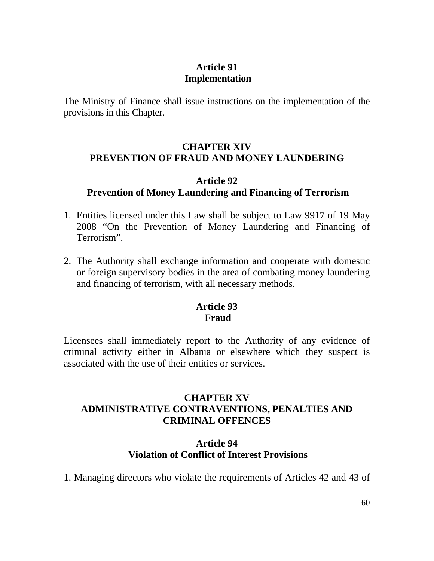# **Article 91 Implementation**

The Ministry of Finance shall issue instructions on the implementation of the provisions in this Chapter.

#### **CHAPTER XIV PREVENTION OF FRAUD AND MONEY LAUNDERING**

#### **Article 92 Prevention of Money Laundering and Financing of Terrorism**

- 1. Entities licensed under this Law shall be subject to Law 9917 of 19 May 2008 "On the Prevention of Money Laundering and Financing of Terrorism".
- 2. The Authority shall exchange information and cooperate with domestic or foreign supervisory bodies in the area of combating money laundering and financing of terrorism, with all necessary methods.

# **Article 93 Fraud**

 Licensees shall immediately report to the Authority of any evidence of criminal activity either in Albania or elsewhere which they suspect is associated with the use of their entities or services.

## **CHAPTER XV ADMINISTRATIVE CONTRAVENTIONS, PENALTIES AND CRIMINAL OFFENCES**

### **Article 94 Violation of Conflict of Interest Provisions**

1. Managing directors who violate the requirements of Articles 42 and 43 of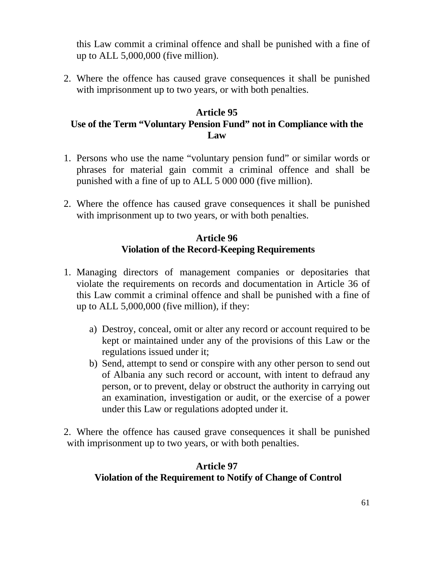this Law commit a criminal offence and shall be punished with a fine of up to ALL 5,000,000 (five million).

2. Where the offence has caused grave consequences it shall be punished with imprisonment up to two years, or with both penalties.

### **Article 95 Use of the Term "Voluntary Pension Fund" not in Compliance with the Law**

- 1. Persons who use the name "voluntary pension fund" or similar words or phrases for material gain commit a criminal offence and shall be punished with a fine of up to ALL 5 000 000 (five million).
- 2. Where the offence has caused grave consequences it shall be punished with imprisonment up to two years, or with both penalties.

### **Article 96 Violation of the Record-Keeping Requirements**

- 1. Managing directors of management companies or depositaries that violate the requirements on records and documentation in Article 36 of this Law commit a criminal offence and shall be punished with a fine of up to ALL 5,000,000 (five million), if they:
	- a) Destroy, conceal, omit or alter any record or account required to be kept or maintained under any of the provisions of this Law or the regulations issued under it;
	- b) Send, attempt to send or conspire with any other person to send out of Albania any such record or account, with intent to defraud any person, or to prevent, delay or obstruct the authority in carrying out an examination, investigation or audit, or the exercise of a power under this Law or regulations adopted under it.
- 2. Where the offence has caused grave consequences it shall be punished with imprisonment up to two years, or with both penalties.

### **Article 97 Violation of the Requirement to Notify of Change of Control**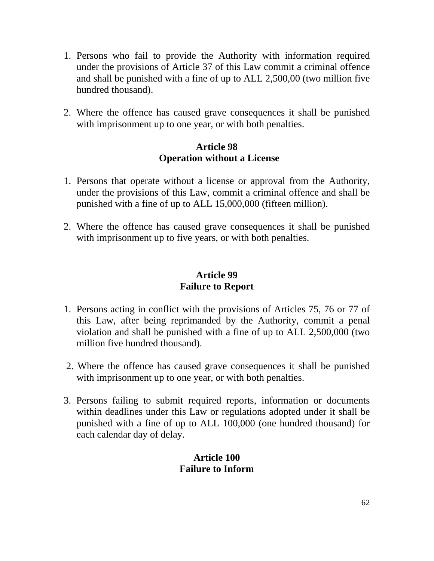- 1. Persons who fail to provide the Authority with information required under the provisions of Article 37 of this Law commit a criminal offence and shall be punished with a fine of up to ALL 2,500,00 (two million five hundred thousand).
- 2. Where the offence has caused grave consequences it shall be punished with imprisonment up to one year, or with both penalties.

### **Article 98 Operation without a License**

- 1. Persons that operate without a license or approval from the Authority, under the provisions of this Law, commit a criminal offence and shall be punished with a fine of up to ALL 15,000,000 (fifteen million).
- 2. Where the offence has caused grave consequences it shall be punished with imprisonment up to five years, or with both penalties.

### **Article 99 Failure to Report**

- 1. Persons acting in conflict with the provisions of Articles 75, 76 or 77 of this Law, after being reprimanded by the Authority, commit a penal violation and shall be punished with a fine of up to ALL 2,500,000 (two million five hundred thousand).
- 2. Where the offence has caused grave consequences it shall be punished with imprisonment up to one year, or with both penalties.
- 3. Persons failing to submit required reports, information or documents within deadlines under this Law or regulations adopted under it shall be punished with a fine of up to ALL 100,000 (one hundred thousand) for each calendar day of delay.

# **Article 100 Failure to Inform**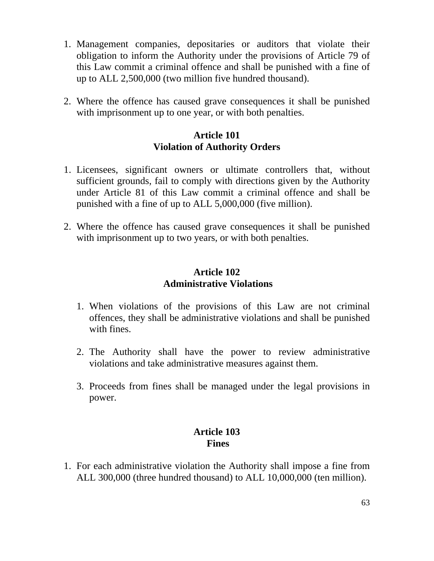- 1. Management companies, depositaries or auditors that violate their obligation to inform the Authority under the provisions of Article 79 of this Law commit a criminal offence and shall be punished with a fine of up to ALL 2,500,000 (two million five hundred thousand).
- 2. Where the offence has caused grave consequences it shall be punished with imprisonment up to one year, or with both penalties.

# **Article 101 Violation of Authority Orders**

- 1. Licensees, significant owners or ultimate controllers that, without sufficient grounds, fail to comply with directions given by the Authority under Article 81 of this Law commit a criminal offence and shall be punished with a fine of up to ALL 5,000,000 (five million).
- 2. Where the offence has caused grave consequences it shall be punished with imprisonment up to two years, or with both penalties.

#### **Article 102 Administrative Violations**

- 1. When violations of the provisions of this Law are not criminal offences, they shall be administrative violations and shall be punished with fines.
- 2. The Authority shall have the power to review administrative violations and take administrative measures against them.
- 3. Proceeds from fines shall be managed under the legal provisions in power.

# **Article 103 Fines**

1. For each administrative violation the Authority shall impose a fine from ALL 300,000 (three hundred thousand) to ALL 10,000,000 (ten million).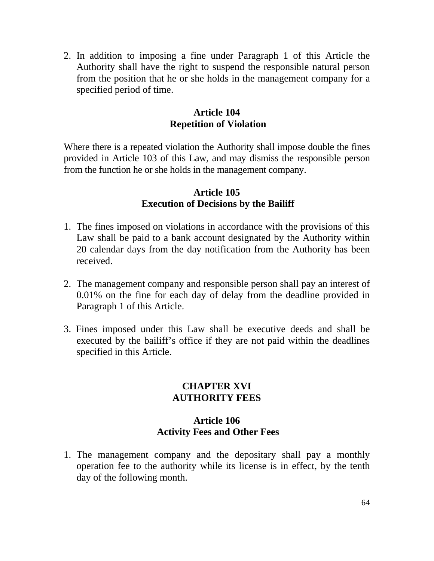2. In addition to imposing a fine under Paragraph 1 of this Article the Authority shall have the right to suspend the responsible natural person from the position that he or she holds in the management company for a specified period of time.

### **Article 104 Repetition of Violation**

Where there is a repeated violation the Authority shall impose double the fines provided in Article 103 of this Law, and may dismiss the responsible person from the function he or she holds in the management company.

### **Article 105 Execution of Decisions by the Bailiff**

- 1. The fines imposed on violations in accordance with the provisions of this Law shall be paid to a bank account designated by the Authority within 20 calendar days from the day notification from the Authority has been received.
- 2. The management company and responsible person shall pay an interest of 0.01% on the fine for each day of delay from the deadline provided in Paragraph 1 of this Article.
- 3. Fines imposed under this Law shall be executive deeds and shall be executed by the bailiff's office if they are not paid within the deadlines specified in this Article.

#### **CHAPTER XVI AUTHORITY FEES**

### **Article 106 Activity Fees and Other Fees**

1. The management company and the depositary shall pay a monthly operation fee to the authority while its license is in effect, by the tenth day of the following month.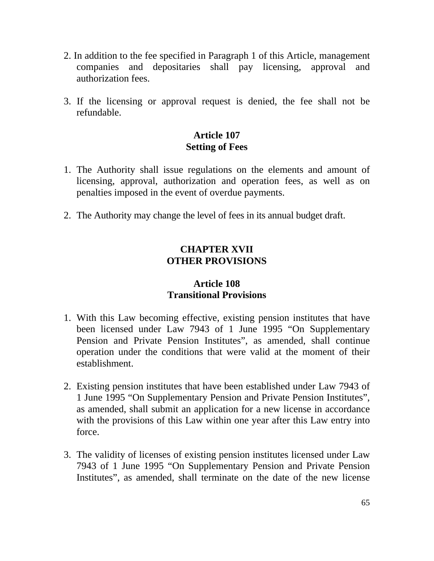- 2. In addition to the fee specified in Paragraph 1 of this Article, management companies and depositaries shall pay licensing, approval and authorization fees.
- 3. If the licensing or approval request is denied, the fee shall not be refundable.

# **Article 107 Setting of Fees**

- 1. The Authority shall issue regulations on the elements and amount of licensing, approval, authorization and operation fees, as well as on penalties imposed in the event of overdue payments.
- 2. The Authority may change the level of fees in its annual budget draft.

# **CHAPTER XVII OTHER PROVISIONS**

# **Article 108 Transitional Provisions**

- 1. With this Law becoming effective, existing pension institutes that have been licensed under Law 7943 of 1 June 1995 "On Supplementary Pension and Private Pension Institutes", as amended, shall continue operation under the conditions that were valid at the moment of their establishment.
- 2. Existing pension institutes that have been established under Law 7943 of 1 June 1995 "On Supplementary Pension and Private Pension Institutes", as amended, shall submit an application for a new license in accordance with the provisions of this Law within one year after this Law entry into force.
- 3. The validity of licenses of existing pension institutes licensed under Law 7943 of 1 June 1995 "On Supplementary Pension and Private Pension Institutes", as amended, shall terminate on the date of the new license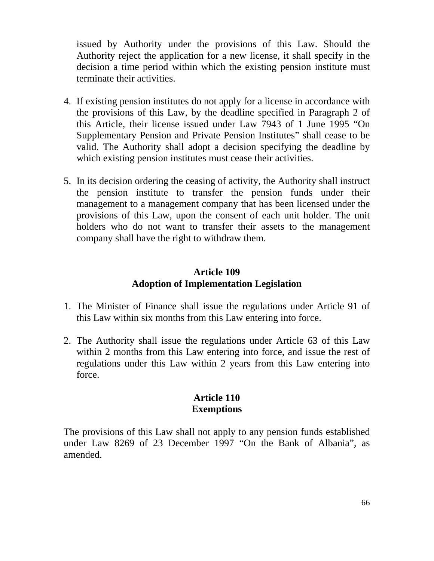issued by Authority under the provisions of this Law. Should the Authority reject the application for a new license, it shall specify in the decision a time period within which the existing pension institute must terminate their activities.

- 4. If existing pension institutes do not apply for a license in accordance with the provisions of this Law, by the deadline specified in Paragraph 2 of this Article, their license issued under Law 7943 of 1 June 1995 "On Supplementary Pension and Private Pension Institutes" shall cease to be valid. The Authority shall adopt a decision specifying the deadline by which existing pension institutes must cease their activities.
- 5. In its decision ordering the ceasing of activity, the Authority shall instruct the pension institute to transfer the pension funds under their management to a management company that has been licensed under the provisions of this Law, upon the consent of each unit holder. The unit holders who do not want to transfer their assets to the management company shall have the right to withdraw them.

### **Article 109 Adoption of Implementation Legislation**

- 1. The Minister of Finance shall issue the regulations under Article 91 of this Law within six months from this Law entering into force.
- 2. The Authority shall issue the regulations under Article 63 of this Law within 2 months from this Law entering into force, and issue the rest of regulations under this Law within 2 years from this Law entering into force.

### **Article 110 Exemptions**

The provisions of this Law shall not apply to any pension funds established under Law 8269 of 23 December 1997 "On the Bank of Albania", as amended.